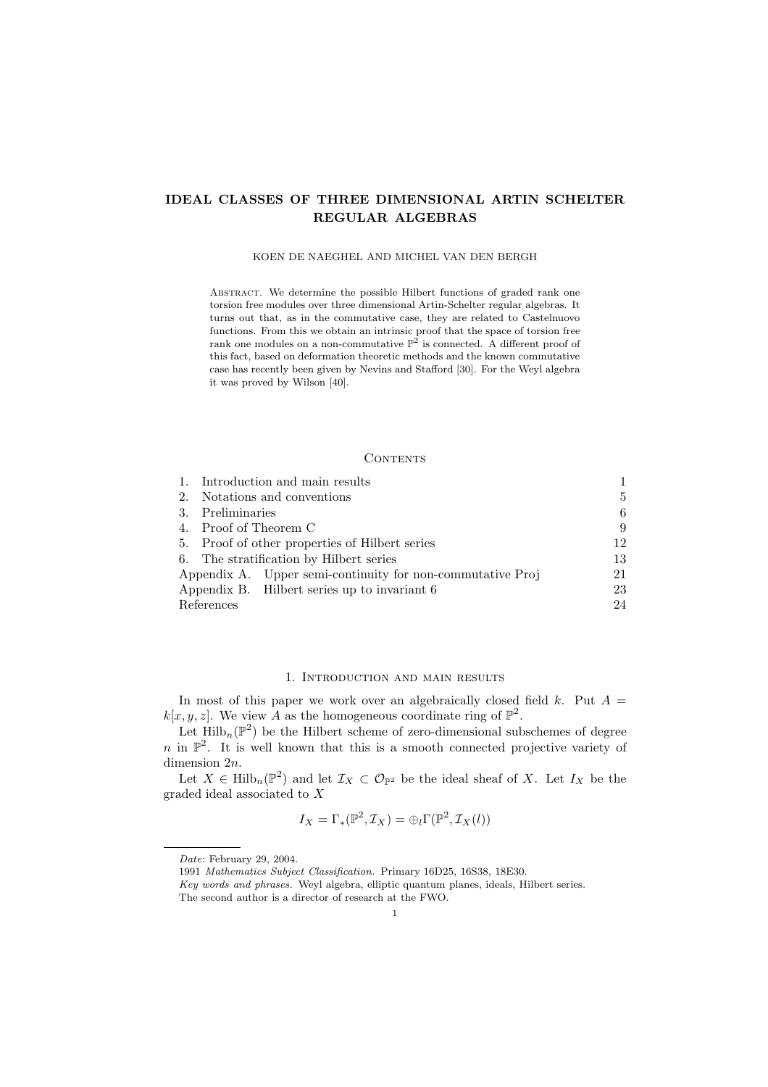## IDEAL CLASSES OF THREE DIMENSIONAL ARTIN SCHELTER REGULAR ALGEBRAS

#### KOEN DE NAEGHEL AND MICHEL VAN DEN BERGH

ABSTRACT. We determine the possible Hilbert functions of graded rank one torsion free modules over three dimensional Artin-Schelter regular algebras. It turns out that, as in the commutative case, they are related to Castelnuovo functions. From this we obtain an intrinsic proof that the space of torsion free rank one modules on a non-commutative  $\mathbb{P}^2$  is connected. A different proof of this fact, based on deformation theoretic methods and the known commutative case has recently been given by Nevins and Stafford [30]. For the Weyl algebra it was proved by Wilson [40].

#### **CONTENTS**

|                                         | 1. Introduction and main results                           |    |
|-----------------------------------------|------------------------------------------------------------|----|
| 2.                                      | Notations and conventions                                  |    |
|                                         | 3. Preliminaries                                           |    |
|                                         | 4. Proof of Theorem C                                      |    |
|                                         | 5. Proof of other properties of Hilbert series             |    |
| 6. The stratification by Hilbert series |                                                            | 13 |
|                                         | Appendix A. Upper semi-continuity for non-commutative Proj | 21 |
|                                         | Appendix B. Hilbert series up to invariant 6               | 23 |
| References                              |                                                            |    |

## 1. Introduction and main results

In most of this paper we work over an algebraically closed field  $k$ . Put  $A =$  $k[x, y, z]$ . We view A as the homogeneous coordinate ring of  $\mathbb{P}^2$ .

Let  $\mathrm{Hilb}_{n}(\mathbb{P}^{2})$  be the Hilbert scheme of zero-dimensional subschemes of degree n in  $\mathbb{P}^2$ . It is well known that this is a smooth connected projective variety of dimension 2n.

Let  $X \in \text{Hilb}_n(\mathbb{P}^2)$  and let  $\mathcal{I}_X \subset \mathcal{O}_{\mathbb{P}^2}$  be the ideal sheaf of X. Let  $I_X$  be the graded ideal associated to X

$$
I_X = \Gamma_*(\mathbb{P}^2, \mathcal{I}_X) = \bigoplus_l \Gamma(\mathbb{P}^2, \mathcal{I}_X(l))
$$

Date: February 29, 2004.

<sup>1991</sup> Mathematics Subject Classification. Primary 16D25, 16S38, 18E30.

Key words and phrases. Weyl algebra, elliptic quantum planes, ideals, Hilbert series.

The second author is a director of research at the FWO.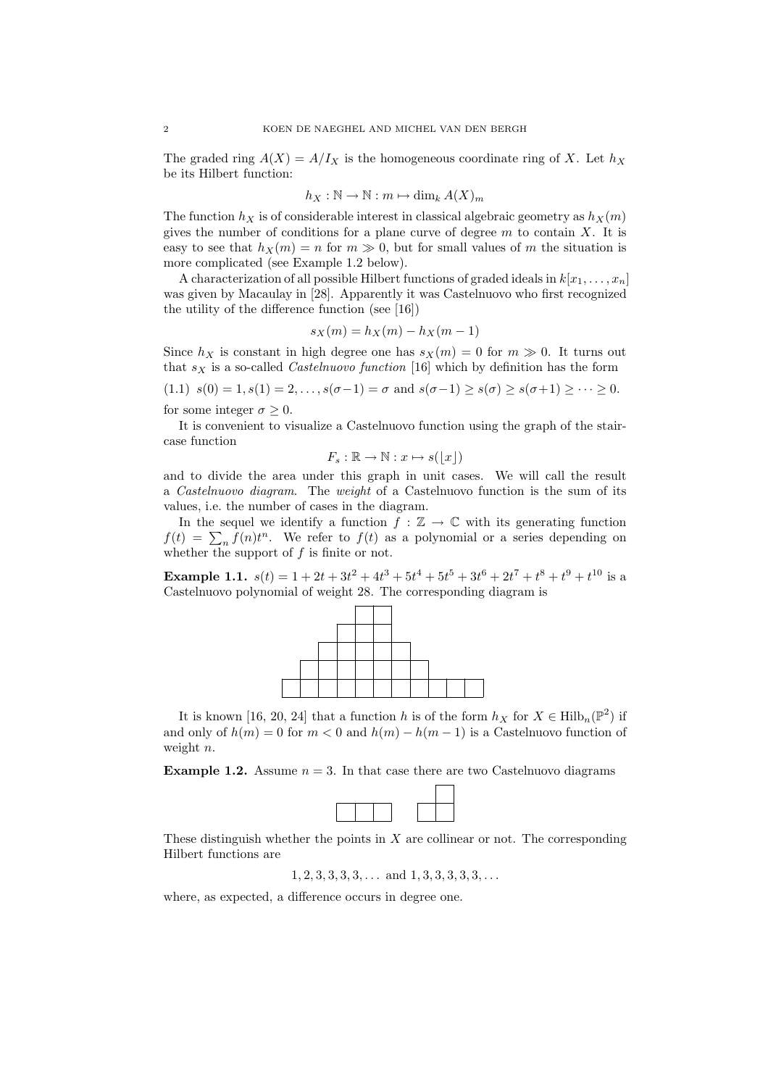The graded ring  $A(X) = A/I_X$  is the homogeneous coordinate ring of X. Let  $h_X$ be its Hilbert function:

$$
h_X : \mathbb{N} \to \mathbb{N} : m \mapsto \dim_k A(X)_m
$$

The function  $h_X$  is of considerable interest in classical algebraic geometry as  $h_X(m)$ gives the number of conditions for a plane curve of degree  $m$  to contain  $X$ . It is easy to see that  $h_X(m) = n$  for  $m \gg 0$ , but for small values of m the situation is more complicated (see Example 1.2 below).

A characterization of all possible Hilbert functions of graded ideals in  $k[x_1, \ldots, x_n]$ was given by Macaulay in [28]. Apparently it was Castelnuovo who first recognized the utility of the difference function (see [16])

$$
s_X(m) = h_X(m) - h_X(m-1)
$$

Since  $h_X$  is constant in high degree one has  $s_X(m) = 0$  for  $m \gg 0$ . It turns out that  $s_X$  is a so-called *Castelnuovo function* [16] which by definition has the form (1.1)  $s(0) = 1, s(1) = 2, \ldots, s(\sigma-1) = \sigma$  and  $s(\sigma-1) \geq s(\sigma) \geq s(\sigma+1) \geq \cdots \geq 0$ .

for some integer  $\sigma \geq 0$ .

It is convenient to visualize a Castelnuovo function using the graph of the staircase function

$$
F_s : \mathbb{R} \to \mathbb{N} : x \mapsto s(\lfloor x \rfloor)
$$

and to divide the area under this graph in unit cases. We will call the result a Castelnuovo diagram. The weight of a Castelnuovo function is the sum of its values, i.e. the number of cases in the diagram.

In the sequel we identify a function  $f : \mathbb{Z} \to \mathbb{C}$  with its generating function  $f(t) = \sum_{n} f(n)t^{n}$ . We refer to  $f(t)$  as a polynomial or a series depending on whether the support of  $f$  is finite or not.

**Example 1.1.**  $s(t) = 1 + 2t + 3t^2 + 4t^3 + 5t^4 + 5t^5 + 3t^6 + 2t^7 + t^8 + t^9 + t^{10}$  is a Castelnuovo polynomial of weight 28. The corresponding diagram is



It is known [16, 20, 24] that a function h is of the form  $h_X$  for  $X \in \text{Hilb}_n(\mathbb{P}^2)$  if and only of  $h(m) = 0$  for  $m < 0$  and  $h(m) - h(m - 1)$  is a Castelnuovo function of weight *n*.

**Example 1.2.** Assume  $n = 3$ . In that case there are two Castelnuovo diagrams



These distinguish whether the points in  $X$  are collinear or not. The corresponding Hilbert functions are

 $1, 2, 3, 3, 3, 3, \ldots$  and  $1, 3, 3, 3, 3, 3, \ldots$ 

where, as expected, a difference occurs in degree one.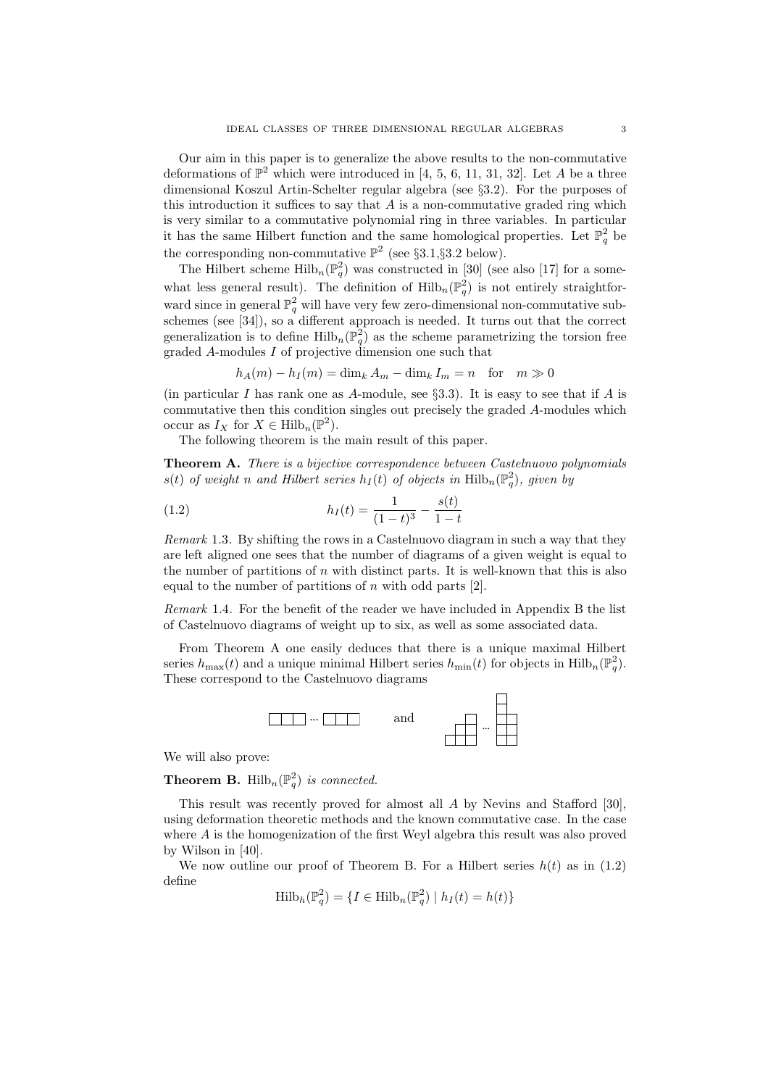Our aim in this paper is to generalize the above results to the non-commutative deformations of  $\mathbb{P}^2$  which were introduced in [4, 5, 6, 11, 31, 32]. Let A be a three dimensional Koszul Artin-Schelter regular algebra (see §3.2). For the purposes of this introduction it suffices to say that  $A$  is a non-commutative graded ring which is very similar to a commutative polynomial ring in three variables. In particular it has the same Hilbert function and the same homological properties. Let  $\mathbb{P}^2_q$  be the corresponding non-commutative  $\mathbb{P}^2$  (see §3.1,§3.2 below).

The Hilbert scheme  $\mathrm{Hilb}_{n}(\mathbb{P}_{q}^{2})$  was constructed in [30] (see also [17] for a somewhat less general result). The definition of  $\mathrm{Hilb}_{n}(\mathbb{P}_{q}^{2})$  is not entirely straightforward since in general  $\mathbb{P}^2_q$  will have very few zero-dimensional non-commutative subschemes (see [34]), so a different approach is needed. It turns out that the correct generalization is to define  $\mathrm{Hilb}_{n}(\mathbb{P}_{q}^{2})$  as the scheme parametrizing the torsion free graded A-modules I of projective dimension one such that

 $h_A(m) - h_I(m) = \dim_k A_m - \dim_k I_m = n$  for  $m \gg 0$ 

(in particular I has rank one as A-module, see  $\S 3.3$ ). It is easy to see that if A is commutative then this condition singles out precisely the graded A-modules which occur as  $I_X$  for  $X \in \text{Hilb}_n(\mathbb{P}^2)$ .

The following theorem is the main result of this paper.

Theorem A. There is a bijective correspondence between Castelnuovo polynomials  $s(t)$  of weight n and Hilbert series  $h_I(t)$  of objects in  $\text{Hilb}_n(\mathbb{P}^2_q)$ , given by

(1.2) 
$$
h_I(t) = \frac{1}{(1-t)^3} - \frac{s(t)}{1-t}
$$

Remark 1.3. By shifting the rows in a Castelnuovo diagram in such a way that they are left aligned one sees that the number of diagrams of a given weight is equal to the number of partitions of  $n$  with distinct parts. It is well-known that this is also equal to the number of partitions of  $n$  with odd parts [2].

Remark 1.4. For the benefit of the reader we have included in Appendix B the list of Castelnuovo diagrams of weight up to six, as well as some associated data.

From Theorem A one easily deduces that there is a unique maximal Hilbert series  $h_{\max}(t)$  and a unique minimal Hilbert series  $h_{\min}(t)$  for objects in  $\text{Hilb}_n(\mathbb{P}_q^2)$ . These correspond to the Castelnuovo diagrams



We will also prove:

**Theorem B.** Hilb<sub>n</sub> $(\mathbb{P}_q^2)$  is connected.

This result was recently proved for almost all A by Nevins and Stafford [30], using deformation theoretic methods and the known commutative case. In the case where A is the homogenization of the first Weyl algebra this result was also proved by Wilson in [40].

We now outline our proof of Theorem B. For a Hilbert series  $h(t)$  as in (1.2) define

$$
\mathrm{Hilb}_{h}(\mathbb{P}_{q}^{2}) = \{ I \in \mathrm{Hilb}_{n}(\mathbb{P}_{q}^{2}) \mid h_{I}(t) = h(t) \}
$$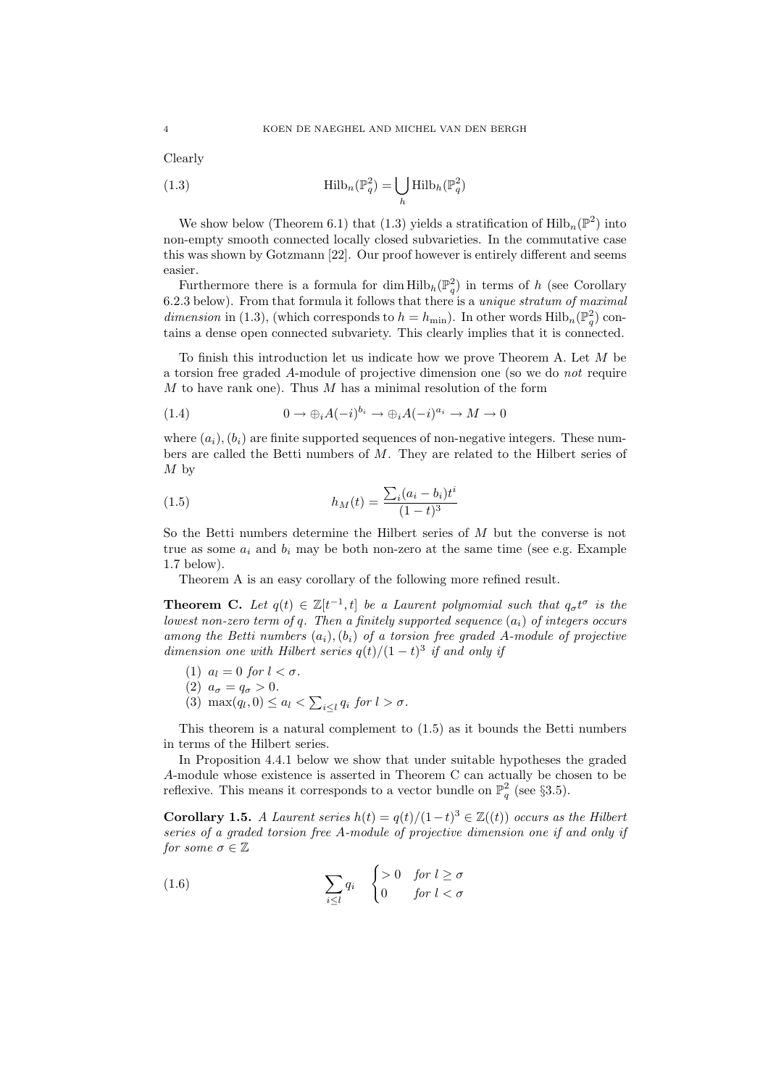Clearly

(1.3) 
$$
\operatorname{Hilb}_n(\mathbb{P}_q^2) = \bigcup_h \operatorname{Hilb}_n(\mathbb{P}_q^2)
$$

We show below (Theorem 6.1) that (1.3) yields a stratification of  $\mathrm{Hilb}_{n}(\mathbb{P}^{2})$  into non-empty smooth connected locally closed subvarieties. In the commutative case this was shown by Gotzmann [22]. Our proof however is entirely different and seems easier.

Furthermore there is a formula for dim  $\text{Hilb}_h(\mathbb{P}_q^2)$  in terms of h (see Corollary 6.2.3 below). From that formula it follows that there is a unique stratum of maximal dimension in (1.3), (which corresponds to  $h = h_{\min}$ ). In other words  $\text{Hilb}_n(\mathbb{P}_q^2)$  contains a dense open connected subvariety. This clearly implies that it is connected.

To finish this introduction let us indicate how we prove Theorem A. Let M be a torsion free graded A-module of projective dimension one (so we do not require  $M$  to have rank one). Thus  $M$  has a minimal resolution of the form

(1.4) 
$$
0 \to \bigoplus_i A(-i)^{b_i} \to \bigoplus_i A(-i)^{a_i} \to M \to 0
$$

where  $(a_i)$ ,  $(b_i)$  are finite supported sequences of non-negative integers. These numbers are called the Betti numbers of M. They are related to the Hilbert series of  $M<sub>by</sub>$ 

(1.5) 
$$
h_M(t) = \frac{\sum_i (a_i - b_i)t^i}{(1 - t)^3}
$$

So the Betti numbers determine the Hilbert series of M but the converse is not true as some  $a_i$  and  $b_i$  may be both non-zero at the same time (see e.g. Example 1.7 below).

Theorem A is an easy corollary of the following more refined result.

**Theorem C.** Let  $q(t) \in \mathbb{Z}[t^{-1}, t]$  be a Laurent polynomial such that  $q_{\sigma}t^{\sigma}$  is the lowest non-zero term of q. Then a finitely supported sequence  $(a_i)$  of integers occurs among the Betti numbers  $(a_i)$ ,  $(b_i)$  of a torsion free graded A-module of projective dimension one with Hilbert series  $q(t)/(1-t)^3$  if and only if

- (1)  $a_l = 0$  for  $l < \sigma$ .
- (2)  $a_{\sigma} = q_{\sigma} > 0.$
- (3) max $(q_l, 0) \leq a_l < \sum_{i \leq l} q_i$  for  $l > \sigma$ .

This theorem is a natural complement to (1.5) as it bounds the Betti numbers in terms of the Hilbert series.

In Proposition 4.4.1 below we show that under suitable hypotheses the graded A-module whose existence is asserted in Theorem C can actually be chosen to be reflexive. This means it corresponds to a vector bundle on  $\mathbb{P}^2_q$  (see §3.5).

Corollary 1.5. A Laurent series  $h(t) = q(t)/(1-t)^3 \in \mathbb{Z}((t))$  occurs as the Hilbert series of a graded torsion free A-module of projective dimension one if and only if for some  $\sigma \in \mathbb{Z}$ 

(1.6) 
$$
\sum_{i \leq l} q_i \quad \begin{cases} > 0 & \text{for } l \geq \sigma \\ 0 & \text{for } l < \sigma \end{cases}
$$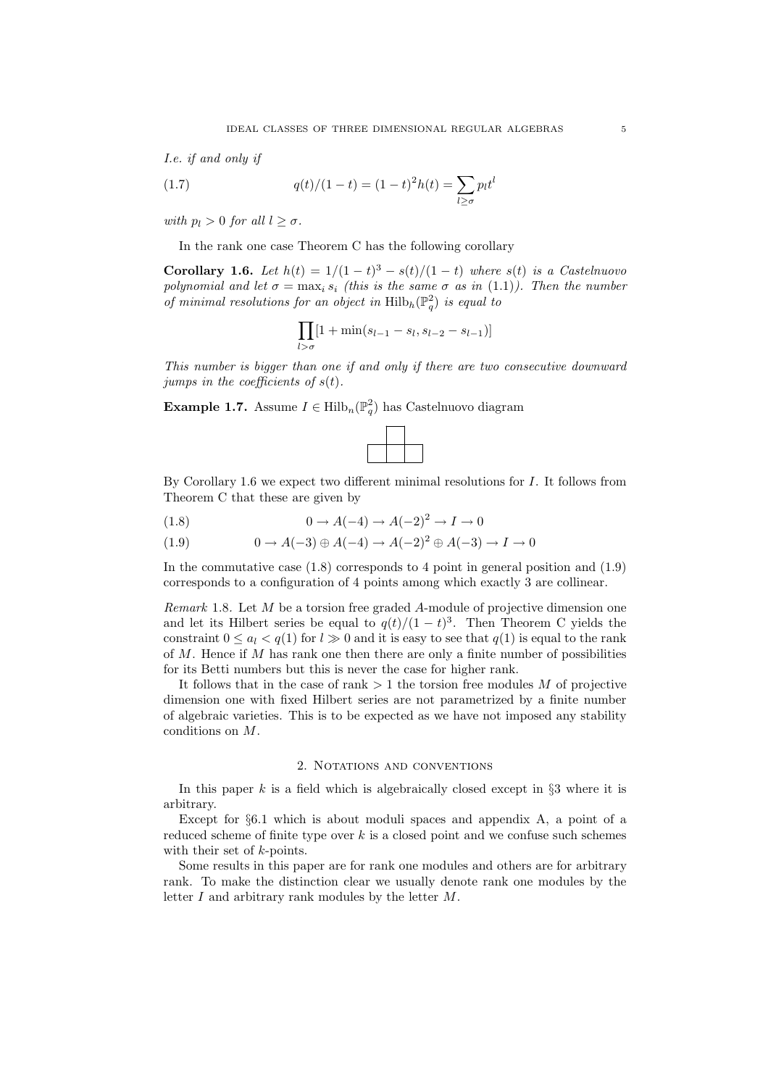I.e. if and only if

(1.7) 
$$
q(t)/(1-t) = (1-t)^2 h(t) = \sum_{l \ge \sigma} p_l t^l
$$

with  $p_l > 0$  for all  $l > \sigma$ .

In the rank one case Theorem C has the following corollary

Corollary 1.6. Let  $h(t) = 1/(1-t)^3 - s(t)/(1-t)$  where  $s(t)$  is a Castelnuovo polynomial and let  $\sigma = \max_i s_i$  (this is the same  $\sigma$  as in (1.1)). Then the number of minimal resolutions for an object in  $\mathrm{Hilb}_h(\mathbb{P}^2_q)$  is equal to

$$
\prod_{l > \sigma} [1 + \min(s_{l-1} - s_l, s_{l-2} - s_{l-1})]
$$

This number is bigger than one if and only if there are two consecutive downward jumps in the coefficients of  $s(t)$ .

**Example 1.7.** Assume  $I \in \mathrm{Hilb}_{n}(\mathbb{P}_{q}^{2})$  has Castelnuovo diagram



By Corollary 1.6 we expect two different minimal resolutions for I. It follows from Theorem C that these are given by

$$
(1.8) \qquad \qquad 0 \to A(-4) \to A(-2)^2 \to I \to 0
$$

$$
(1.9) \qquad \qquad 0 \to A(-3) \oplus A(-4) \to A(-2)^2 \oplus A(-3) \to I \to 0
$$

In the commutative case  $(1.8)$  corresponds to 4 point in general position and  $(1.9)$ corresponds to a configuration of 4 points among which exactly 3 are collinear.

Remark 1.8. Let  $M$  be a torsion free graded  $A$ -module of projective dimension one and let its Hilbert series be equal to  $q(t)/(1-t)^3$ . Then Theorem C yields the constraint  $0 \le a_l < q(1)$  for  $l \ge 0$  and it is easy to see that  $q(1)$  is equal to the rank of  $M$ . Hence if  $M$  has rank one then there are only a finite number of possibilities for its Betti numbers but this is never the case for higher rank.

It follows that in the case of rank  $> 1$  the torsion free modules M of projective dimension one with fixed Hilbert series are not parametrized by a finite number of algebraic varieties. This is to be expected as we have not imposed any stability conditions on M.

## 2. Notations and conventions

In this paper  $k$  is a field which is algebraically closed except in  $\S3$  where it is arbitrary.

Except for  $\S6.1$  which is about moduli spaces and appendix A, a point of a reduced scheme of finite type over  $k$  is a closed point and we confuse such schemes with their set of *k*-points.

Some results in this paper are for rank one modules and others are for arbitrary rank. To make the distinction clear we usually denote rank one modules by the letter I and arbitrary rank modules by the letter M.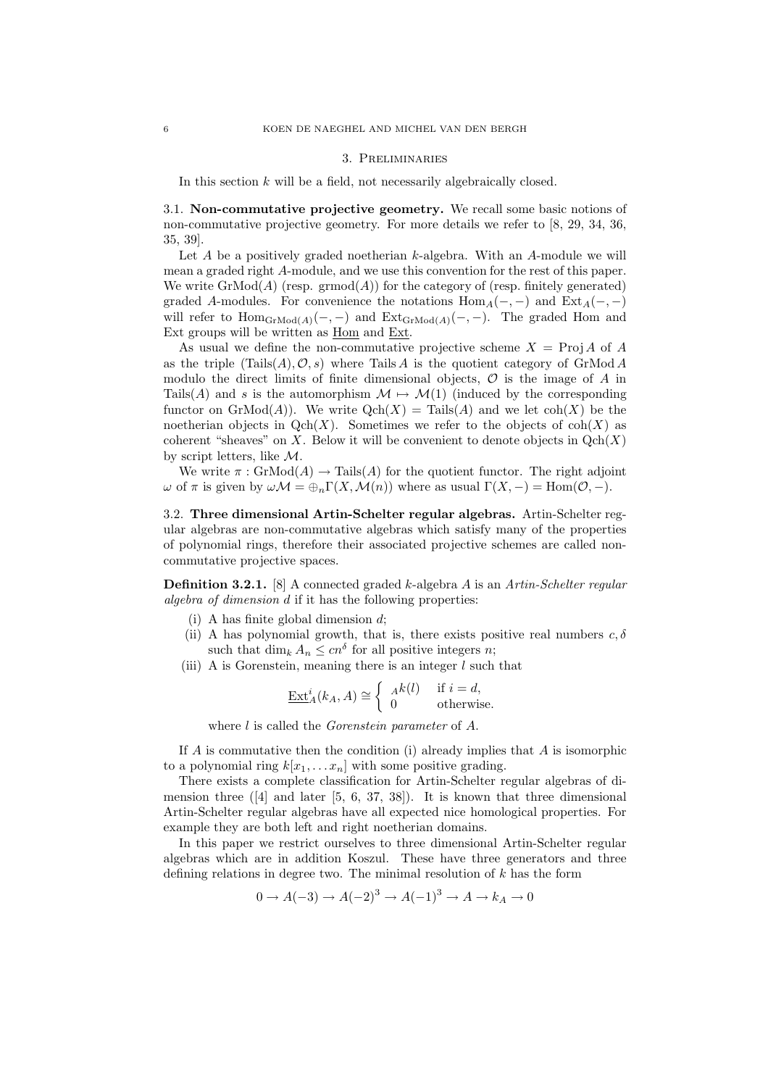#### 3. Preliminaries

In this section  $k$  will be a field, not necessarily algebraically closed.

3.1. Non-commutative projective geometry. We recall some basic notions of non-commutative projective geometry. For more details we refer to [8, 29, 34, 36, 35, 39].

Let  $A$  be a positively graded noetherian  $k$ -algebra. With an  $A$ -module we will mean a graded right A-module, and we use this convention for the rest of this paper. We write  $\text{GrMod}(A)$  (resp. grmod $(A)$ ) for the category of (resp. finitely generated) graded A-modules. For convenience the notations  $\text{Hom}_A(-, -)$  and  $\text{Ext}_A(-, -)$ will refer to  $\text{Hom}_{\text{GrMod}(A)}(-,-)$  and  $\text{Ext}_{\text{GrMod}(A)}(-,-)$ . The graded Hom and Ext groups will be written as Hom and Ext.

As usual we define the non-commutative projective scheme  $X = \text{Proj} A$  of A as the triple  $(Tails(A), \mathcal{O}, s)$  where Tails A is the quotient category of GrMod A modulo the direct limits of finite dimensional objects,  $\mathcal O$  is the image of A in Tails(A) and s is the automorphism  $\mathcal{M} \mapsto \mathcal{M}(1)$  (induced by the corresponding functor on  $\mathrm{GrMod}(A)$ . We write  $\mathrm{Qch}(X) = \mathrm{Tails}(A)$  and we let  $\mathrm{coh}(X)$  be the noetherian objects in  $Qch(X)$ . Sometimes we refer to the objects of  $coh(X)$  as coherent "sheaves" on X. Below it will be convenient to denote objects in  $Qch(X)$ by script letters, like M.

We write  $\pi : \text{GrMod}(A) \to \text{Tails}(A)$  for the quotient functor. The right adjoint ω of π is given by  $ω\mathcal{M} = \bigoplus_n \Gamma(X, \mathcal{M}(n))$  where as usual  $\Gamma(X, -) = \text{Hom}(\mathcal{O}, -)$ .

3.2. Three dimensional Artin-Schelter regular algebras. Artin-Schelter regular algebras are non-commutative algebras which satisfy many of the properties of polynomial rings, therefore their associated projective schemes are called noncommutative projective spaces.

Definition 3.2.1. [8] A connected graded k-algebra A is an Artin-Schelter regular algebra of dimension d if it has the following properties:

- (i) A has finite global dimension  $d$ ;
- (ii) A has polynomial growth, that is, there exists positive real numbers  $c, \delta$ such that  $\dim_k A_n \leq cn^{\delta}$  for all positive integers *n*;
- (iii) A is Gorenstein, meaning there is an integer  $l$  such that

$$
\underline{\operatorname{Ext}}_{A}^{i}(k_{A}, A) \cong \begin{cases} A^{k}(l) & \text{if } i = d, \\ 0 & \text{otherwise.} \end{cases}
$$

where *l* is called the *Gorenstein parameter* of *A*.

If  $A$  is commutative then the condition (i) already implies that  $A$  is isomorphic to a polynomial ring  $k[x_1, \ldots x_n]$  with some positive grading.

There exists a complete classification for Artin-Schelter regular algebras of dimension three  $([4]$  and later  $[5, 6, 37, 38]$ . It is known that three dimensional Artin-Schelter regular algebras have all expected nice homological properties. For example they are both left and right noetherian domains.

In this paper we restrict ourselves to three dimensional Artin-Schelter regular algebras which are in addition Koszul. These have three generators and three defining relations in degree two. The minimal resolution of  $k$  has the form

$$
0 \to A(-3) \to A(-2)^3 \to A(-1)^3 \to A \to k_A \to 0
$$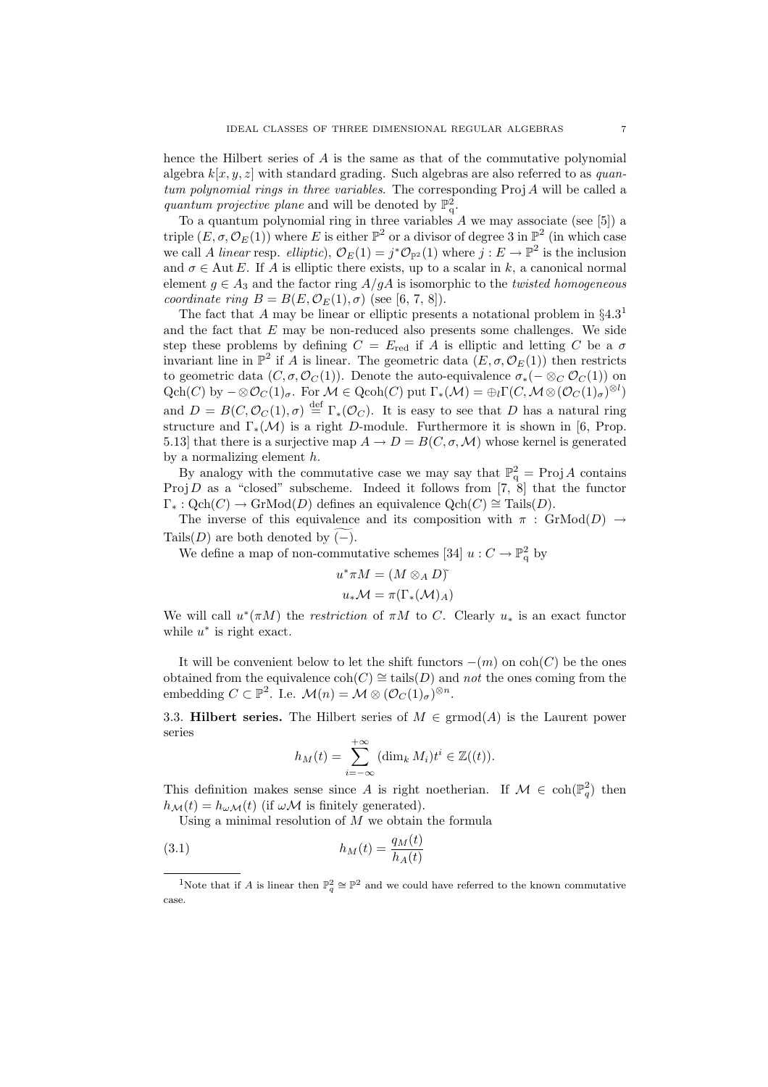hence the Hilbert series of A is the same as that of the commutative polynomial algebra  $k[x, y, z]$  with standard grading. Such algebras are also referred to as quantum polynomial rings in three variables. The corresponding Proj A will be called a quantum projective plane and will be denoted by  $\mathbb{P}^2_q$ .

To a quantum polynomial ring in three variables  $A$  we may associate (see [5]) a triple  $(E, \sigma, \mathcal{O}_E(1))$  where E is either  $\mathbb{P}^2$  or a divisor of degree 3 in  $\mathbb{P}^2$  (in which case we call A linear resp. elliptic),  $\mathcal{O}_E(1) = j^* \mathcal{O}_{\mathbb{P}^2}(1)$  where  $j : E \to \mathbb{P}^2$  is the inclusion and  $\sigma \in \text{Aut } E$ . If A is elliptic there exists, up to a scalar in k, a canonical normal element  $g \in A_3$  and the factor ring  $A/gA$  is isomorphic to the *twisted homogeneous* coordinate ring  $B = B(E, \mathcal{O}_E(1), \sigma)$  (see [6, 7, 8]).

The fact that A may be linear or elliptic presents a notational problem in  $\S 4.3<sup>1</sup>$ and the fact that  $E$  may be non-reduced also presents some challenges. We side step these problems by defining  $C = E_{\text{red}}$  if A is elliptic and letting C be a  $\sigma$ invariant line in  $\mathbb{P}^2$  if A is linear. The geometric data  $(E, \sigma, \mathcal{O}_E(1))$  then restricts to geometric data  $(C, \sigma, \mathcal{O}_C(1))$ . Denote the auto-equivalence  $\sigma_*(- \otimes_C \mathcal{O}_C(1))$  on  $\operatorname{Qch}(C)$  by  $-\otimes \mathcal{O}_C(1)_{\sigma}$ . For  $\mathcal{M} \in \operatorname{Qcoh}(C)$  put  $\Gamma_*(\mathcal{M}) = \bigoplus_l \Gamma(C, \mathcal{M} \otimes (\mathcal{O}_C(1)_{\sigma})^{\otimes l})$ and  $D = B(C, \mathcal{O}_C(1), \sigma) \stackrel{\text{def}}{=} \Gamma_*(\mathcal{O}_C)$ . It is easy to see that D has a natural ring structure and  $\Gamma_*(\mathcal{M})$  is a right D-module. Furthermore it is shown in [6, Prop. 5.13] that there is a surjective map  $A \to D = B(C, \sigma, \mathcal{M})$  whose kernel is generated by a normalizing element  $h$ .

By analogy with the commutative case we may say that  $\mathbb{P}^2_q$  = Proj A contains Proj D as a "closed" subscheme. Indeed it follows from [7, 8] that the functor  $\Gamma_*: \text{Qch}(C) \to \text{GrMod}(D)$  defines an equivalence  $\text{Qch}(C) \cong \text{Tails}(D)$ .

The inverse of this equivalence and its composition with  $\pi$ : GrMod(D)  $\rightarrow$ Tails(D) are both denoted by  $(-)$ .

We define a map of non-commutative schemes [34]  $u: C \to \mathbb{P}^2_q$  by

$$
u^*\pi M = (M \otimes_A D)^*
$$

$$
u_*\mathcal{M} = \pi(\Gamma_*(\mathcal{M})_A)
$$

We will call  $u^*(\pi M)$  the *restriction* of  $\pi M$  to C. Clearly  $u_*$  is an exact functor while  $u^*$  is right exact.

It will be convenient below to let the shift functors  $-(m)$  on  $\text{coh}(C)$  be the ones obtained from the equivalence  $\text{coh}(C) \cong \text{tails}(D)$  and not the ones coming from the embedding  $C \subset \mathbb{P}^2$ . I.e.  $\mathcal{M}(n) = \mathcal{M} \otimes (\mathcal{O}_C(1)_{\sigma})^{\otimes n}$ .

3.3. Hilbert series. The Hilbert series of  $M \in \text{grmod}(A)$  is the Laurent power series

$$
h_M(t) = \sum_{i=-\infty}^{+\infty} (\dim_k M_i) t^i \in \mathbb{Z}((t)).
$$

This definition makes sense since A is right noetherian. If  $\mathcal{M} \in \text{coh}(\mathbb{P}_q^2)$  then  $h_{\mathcal{M}}(t) = h_{\omega \mathcal{M}}(t)$  (if  $\omega \mathcal{M}$  is finitely generated).

Using a minimal resolution of  $M$  we obtain the formula

$$
(3.1)\qquad \qquad h_M(t) = \frac{q_M(t)}{h_A(t)}
$$

<sup>&</sup>lt;sup>1</sup>Note that if A is linear then  $\mathbb{P}^2_q \cong \mathbb{P}^2$  and we could have referred to the known commutative case.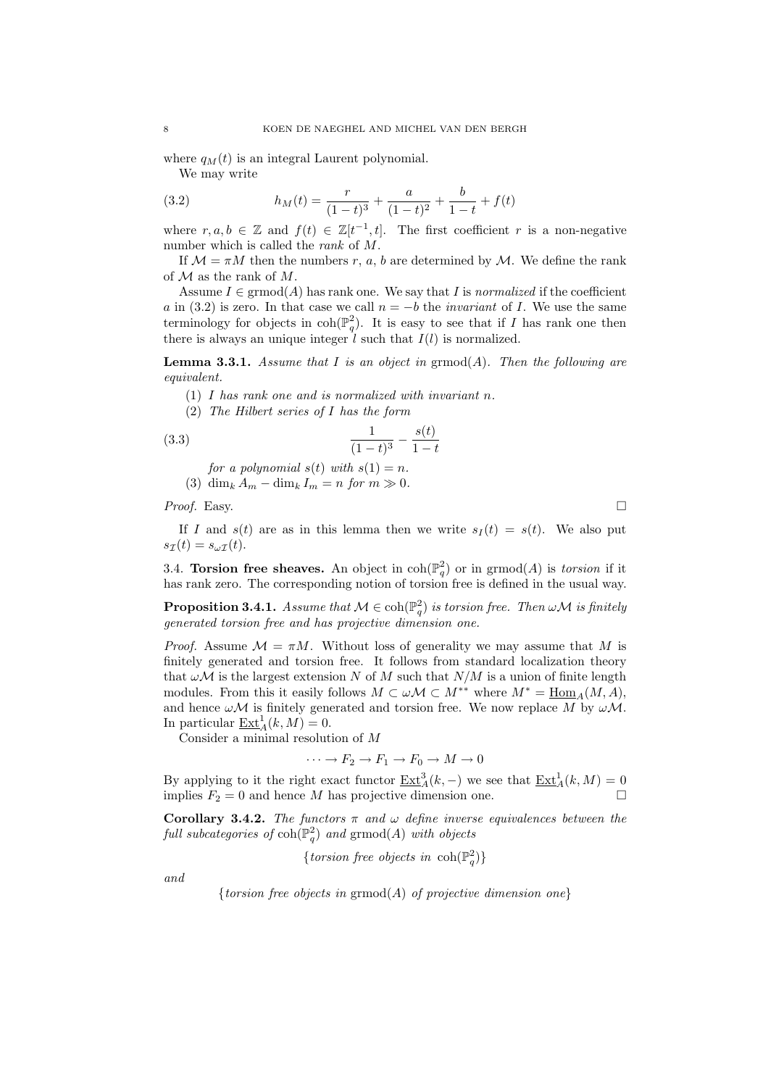where  $q_M(t)$  is an integral Laurent polynomial.

We may write

(3.2) 
$$
h_M(t) = \frac{r}{(1-t)^3} + \frac{a}{(1-t)^2} + \frac{b}{1-t} + f(t)
$$

where  $r, a, b \in \mathbb{Z}$  and  $f(t) \in \mathbb{Z}[t^{-1}, t]$ . The first coefficient r is a non-negative number which is called the rank of M.

If  $\mathcal{M} = \pi M$  then the numbers r, a, b are determined by  $\mathcal{M}$ . We define the rank of  $\mathcal M$  as the rank of  $M$ .

Assume  $I \in \mathrm{grmod}(A)$  has rank one. We say that I is normalized if the coefficient a in (3.2) is zero. In that case we call  $n = -b$  the *invariant* of I. We use the same terminology for objects in  $\coh(\mathbb{P}^2_q)$ . It is easy to see that if I has rank one then there is always an unique integer  $l$  such that  $I(l)$  is normalized.

**Lemma 3.3.1.** Assume that I is an object in  $\mathrm{grmod}(A)$ . Then the following are equivalent.

- (1) I has rank one and is normalized with invariant n.
- (2) The Hilbert series of I has the form

(3.3) 
$$
\frac{1}{(1-t)^3} - \frac{s(t)}{1-t}
$$

for a polynomial  $s(t)$  with  $s(1) = n$ .

(3) dim<sub>k</sub>  $A_m - \dim_k I_m = n$  for  $m \gg 0$ .

*Proof.* Easy.  $\Box$ 

If I and  $s(t)$  are as in this lemma then we write  $s<sub>I</sub>(t) = s(t)$ . We also put  $s_{\mathcal{I}}(t) = s_{\omega \mathcal{I}}(t).$ 

3.4. Torsion free sheaves. An object in  $\text{coh}(\mathbb{P}^2_q)$  or in grmod $(A)$  is torsion if it has rank zero. The corresponding notion of torsion free is defined in the usual way.

**Proposition 3.4.1.** Assume that  $\mathcal{M} \in \text{coh}(\mathbb{P}_q^2)$  is torsion free. Then  $\omega \mathcal{M}$  is finitely generated torsion free and has projective dimension one.

*Proof.* Assume  $\mathcal{M} = \pi M$ . Without loss of generality we may assume that M is finitely generated and torsion free. It follows from standard localization theory that  $\omega \mathcal{M}$  is the largest extension N of M such that  $N/M$  is a union of finite length modules. From this it easily follows  $M \subset \omega \mathcal{M} \subset M^{**}$  where  $M^* = \underline{\text{Hom}}_A(M, A)$ , and hence  $\omega \mathcal{M}$  is finitely generated and torsion free. We now replace M by  $\omega \mathcal{M}$ . In particular  $\underline{\operatorname{Ext}}_{A}^{1}(k,M) = 0.$ 

Consider a minimal resolution of M

$$
\cdots \to F_2 \to F_1 \to F_0 \to M \to 0
$$

By applying to it the right exact functor  $\underline{\mathrm{Ext}}_A^3(k, -)$  we see that  $\underline{\mathrm{Ext}}_A^1(k, M) = 0$ implies  $F_2 = 0$  and hence M has projective dimension one.

Corollary 3.4.2. The functors  $\pi$  and  $\omega$  define inverse equivalences between the full subcategories of  $\operatorname{coh}(\mathbb{P}^2_q)$  and  $\operatorname{grmod}(A)$  with objects

{torsion free objects in  $\coh(\mathbb{P}^2_q)$ }

and

{torsion free objects in  $\mathrm{grmod}(A)$  of projective dimension one}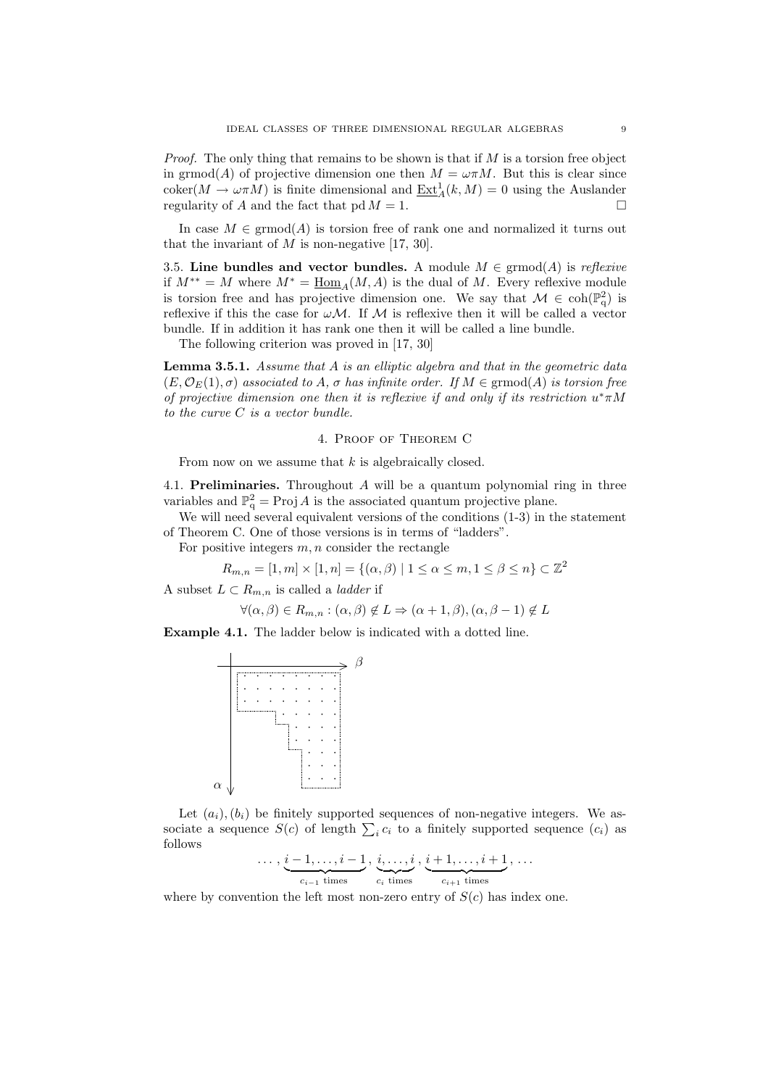*Proof.* The only thing that remains to be shown is that if  $M$  is a torsion free object in grmod(A) of projective dimension one then  $M = \omega \pi M$ . But this is clear since  $\operatorname{coker}(M \to \omega \pi M)$  is finite dimensional and  $\underline{\operatorname{Ext}}_{A}^{1}(k,M) = 0$  using the Auslander regularity of A and the fact that  $pd M = 1$ .

In case  $M \in \mathrm{grmod}(A)$  is torsion free of rank one and normalized it turns out that the invariant of  $M$  is non-negative [17, 30].

3.5. Line bundles and vector bundles. A module  $M \in \mathrm{grmod}(A)$  is reflexive if  $M^{**} = M$  where  $M^* = \underline{\text{Hom}}_A(M, A)$  is the dual of M. Every reflexive module is torsion free and has projective dimension one. We say that  $\mathcal{M} \in \text{coh}(\mathbb{P}_{q}^{2})$  is reflexive if this the case for  $\omega \mathcal{M}$ . If  $\mathcal M$  is reflexive then it will be called a vector bundle. If in addition it has rank one then it will be called a line bundle.

The following criterion was proved in [17, 30]

**Lemma 3.5.1.** Assume that  $A$  is an elliptic algebra and that in the geometric data  $(E, \mathcal{O}_E(1), \sigma)$  associated to A,  $\sigma$  has infinite order. If  $M \in \mathrm{grmod}(A)$  is torsion free of projective dimension one then it is reflexive if and only if its restriction  $u^*\pi M$ to the curve C is a vector bundle.

### 4. Proof of Theorem C

From now on we assume that k is algebraically closed.

4.1. Preliminaries. Throughout  $A$  will be a quantum polynomial ring in three variables and  $\mathbb{P}^2_q$  = Proj A is the associated quantum projective plane.

We will need several equivalent versions of the conditions  $(1-3)$  in the statement of Theorem C. One of those versions is in terms of "ladders".

For positive integers  $m, n$  consider the rectangle

$$
R_{m,n} = [1, m] \times [1, n] = \{ (\alpha, \beta) \mid 1 \le \alpha \le m, 1 \le \beta \le n \} \subset \mathbb{Z}^2
$$

A subset  $L \subset R_{m,n}$  is called a *ladder* if

$$
\forall (\alpha, \beta) \in R_{m,n} : (\alpha, \beta) \notin L \Rightarrow (\alpha + 1, \beta), (\alpha, \beta - 1) \notin L
$$

Example 4.1. The ladder below is indicated with a dotted line.



Let  $(a_i), (b_i)$  be finitely supported sequences of non-negative integers. We associate a sequence  $S(c)$  of length  $\sum_i c_i$  to a finitely supported sequence  $(c_i)$  as follows

$$
\ldots, \underbrace{i-1,\ldots,i-1}_{c_{i-1} \text{ times}}, \underbrace{i,\ldots,i}_{c_i \text{ times}}, \underbrace{i+1,\ldots,i+1}_{c_{i+1} \text{ times}}, \ldots
$$

where by convention the left most non-zero entry of  $S(c)$  has index one.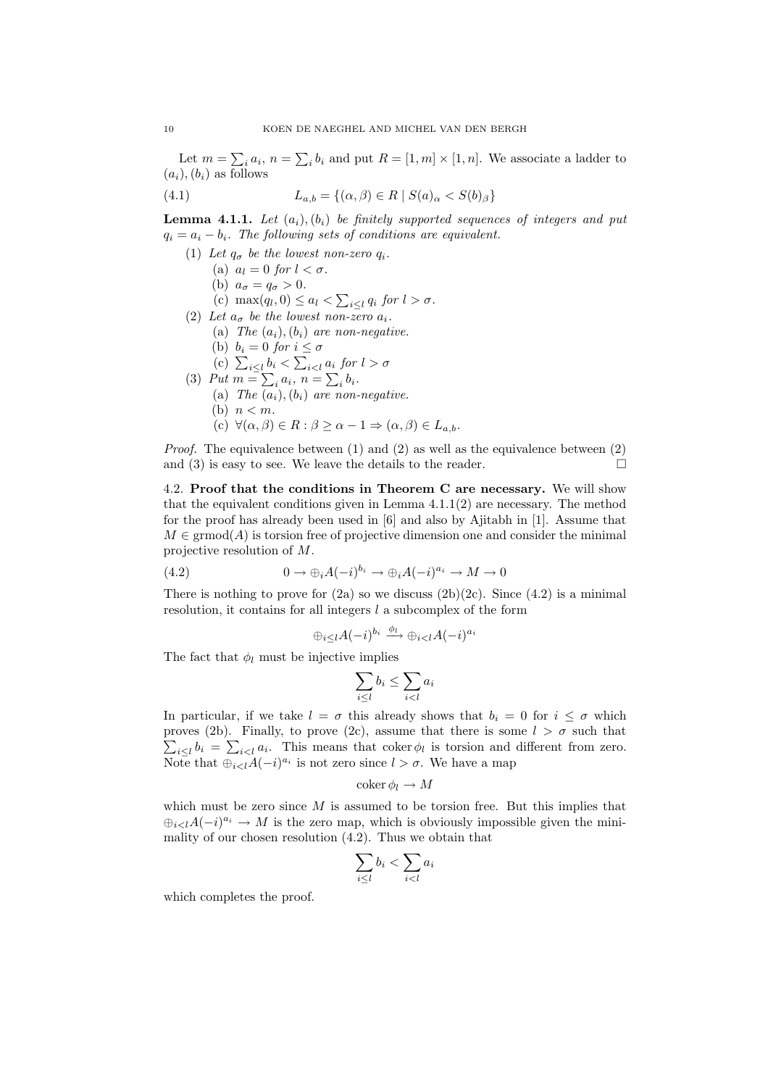Let  $m = \sum_i a_i$ ,  $n = \sum_i b_i$  and put  $R = [1, m] \times [1, n]$ . We associate a ladder to  $(a_i), (b_i)$  as follows

(4.1) 
$$
L_{a,b} = \{ (\alpha, \beta) \in R \mid S(a)_{\alpha} < S(b)_{\beta} \}
$$

**Lemma 4.1.1.** Let  $(a_i)$ ,  $(b_i)$  be finitely supported sequences of integers and put  $q_i = a_i - b_i$ . The following sets of conditions are equivalent.

- (1) Let  $q_{\sigma}$  be the lowest non-zero  $q_i$ .
	- (a)  $a_l = 0$  for  $l < \sigma$ .
	- (b)  $a_{\sigma} = q_{\sigma} > 0$ .
	- (c) max $(q_l, 0) \leq a_l < \sum_{i \leq l} q_i$  for  $l > \sigma$ .
- (2) Let  $a_{\sigma}$  be the lowest non-zero  $a_i$ .
	- (a) The  $(a_i)$ ,  $(b_i)$  are non-negative.
		- (b)  $b_i = 0$  for  $i \leq \sigma$
	- (c)  $\sum_{i\leq l} b_i < \sum_{i\leq l} a_i$  for  $l > \sigma$
- (3) Put  $m = \sum_i a_i, n = \sum_i b_i$ .
	- (a) The  $(a_i)$ ,  $(b_i)$  are non-negative.
		- (b)  $n < m$ .
		- (c)  $\forall (\alpha, \beta) \in R : \beta \geq \alpha 1 \Rightarrow (\alpha, \beta) \in L_{a,b}.$

*Proof.* The equivalence between (1) and (2) as well as the equivalence between (2) and (3) is easy to see. We leave the details to the reader.  $\Box$ 

4.2. Proof that the conditions in Theorem C are necessary. We will show that the equivalent conditions given in Lemma  $4.1.1(2)$  are necessary. The method for the proof has already been used in [6] and also by Ajitabh in [1]. Assume that  $M \in \mathrm{grmod}(A)$  is torsion free of projective dimension one and consider the minimal projective resolution of M.

(4.2) 
$$
0 \to \bigoplus_i A(-i)^{b_i} \to \bigoplus_i A(-i)^{a_i} \to M \to 0
$$

There is nothing to prove for  $(2a)$  so we discuss  $(2b)(2c)$ . Since  $(4.2)$  is a minimal resolution, it contains for all integers  $l$  a subcomplex of the form

$$
\oplus_{i\leq l}A(-i)^{b_i}\xrightarrow{\phi_l}\oplus_{i
$$

The fact that  $\phi_l$  must be injective implies

$$
\sum_{i \le l} b_i \le \sum_{i < l} a_i
$$

In particular, if we take  $l = \sigma$  this already shows that  $b_i = 0$  for  $i \leq \sigma$  which proves (2b). Finally, to prove (2c), assume that there is some  $l > \sigma$  such that  $\sum_{i\leq l} b_i = \sum_{i\leq l} a_i$ . This means that coker  $\phi_l$  is torsion and different from zero. Note that  $\bigoplus_{i < l} A(-i)^{a_i}$  is not zero since  $l > \sigma$ . We have a map

$$
\operatorname{coker} \phi_l \to M
$$

which must be zero since  $M$  is assumed to be torsion free. But this implies that  $\bigoplus_{i\leq l}A(-i)^{a_i}\to M$  is the zero map, which is obviously impossible given the minimality of our chosen resolution (4.2). Thus we obtain that

$$
\sum_{i\leq l}b_i < \sum_{i
$$

which completes the proof.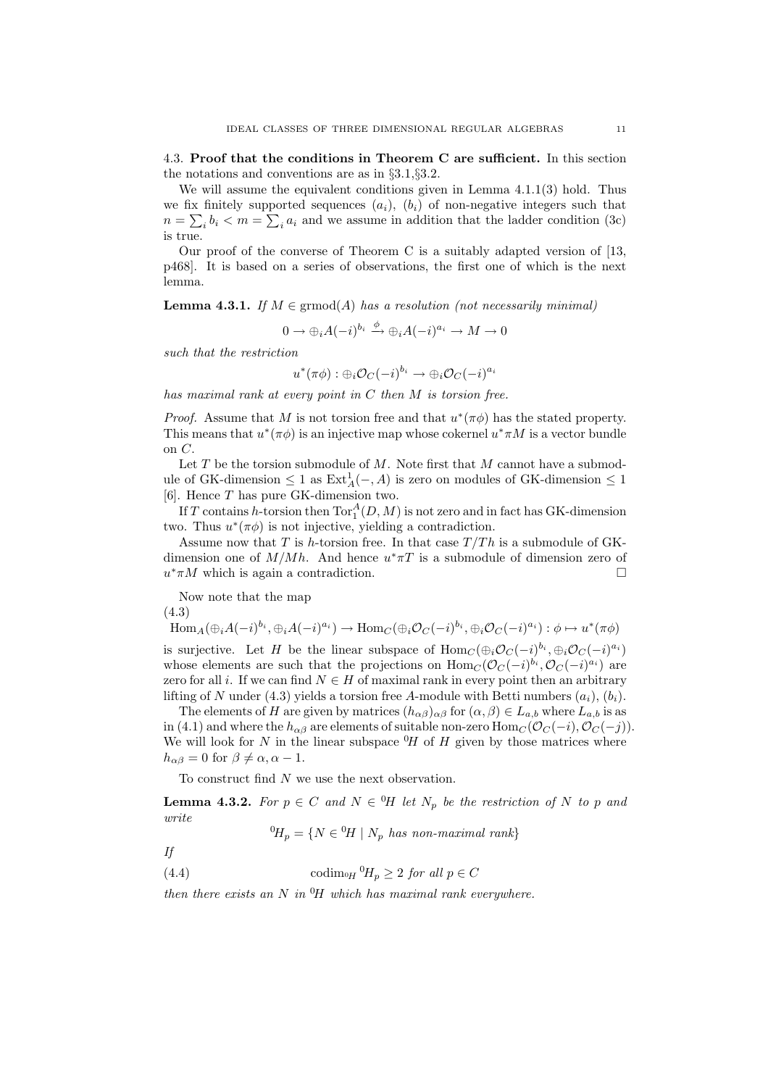4.3. Proof that the conditions in Theorem C are sufficient. In this section the notations and conventions are as in §3.1,§3.2.

We will assume the equivalent conditions given in Lemma 4.1.1(3) hold. Thus we fix finitely supported sequences  $(a_i)$ ,  $(b_i)$  of non-negative integers such that  $n = \sum_i b_i < m = \sum_i a_i$  and we assume in addition that the ladder condition (3c) is true.

Our proof of the converse of Theorem C is a suitably adapted version of [13, p468]. It is based on a series of observations, the first one of which is the next lemma.

**Lemma 4.3.1.** If  $M \in \mathrm{grmod}(A)$  has a resolution (not necessarily minimal)

$$
0 \to \oplus_i A(-i)^{b_i} \xrightarrow{\phi} \oplus_i A(-i)^{a_i} \to M \to 0
$$

such that the restriction

$$
u^*(\pi\phi) : \oplus_i {\mathcal O}_C(-i)^{b_i} \to \oplus_i {\mathcal O}_C(-i)^{a_i}
$$

has maximal rank at every point in C then M is torsion free.

*Proof.* Assume that M is not torsion free and that  $u^*(\pi\phi)$  has the stated property. This means that  $u^*(\pi\phi)$  is an injective map whose cokernel  $u^*\pi M$  is a vector bundle on C.

Let  $T$  be the torsion submodule of  $M$ . Note first that  $M$  cannot have a submodule of GK-dimension  $\leq 1$  as  $\text{Ext}_{A}^{1}(-, A)$  is zero on modules of GK-dimension  $\leq 1$ [6]. Hence T has pure GK-dimension two.

If T contains h-torsion then  $\operatorname{Tor}^A_1(D,M)$  is not zero and in fact has GK-dimension two. Thus  $u^*(\pi\phi)$  is not injective, yielding a contradiction.

Assume now that T is h-torsion free. In that case  $T/Th$  is a submodule of GKdimension one of  $M/Mh$ . And hence  $u^* \pi T$  is a submodule of dimension zero of  $u^* \pi M$  which is again a contradiction.

Now note that the map

(4.3)

$$
\text{Hom}_{A}(\bigoplus_{i} A(-i)^{b_{i}}, \bigoplus_{i} A(-i)^{a_{i}}) \to \text{Hom}_{C}(\bigoplus_{i} \mathcal{O}_{C}(-i)^{b_{i}}, \bigoplus_{i} \mathcal{O}_{C}(-i)^{a_{i}}) : \phi \mapsto u^{*}(\pi\phi)
$$

is surjective. Let H be the linear subspace of  $Hom_C(\oplus_i \mathcal{O}_C(-i)^{b_i}, \oplus_i \mathcal{O}_C(-i)^{a_i})$ whose elements are such that the projections on  $\text{Hom}_C(\mathcal{O}_C(-i)^{b_i}, \mathcal{O}_C(-i)^{a_i})$  are zero for all i. If we can find  $N \in H$  of maximal rank in every point then an arbitrary lifting of N under (4.3) yields a torsion free A-module with Betti numbers  $(a_i)$ ,  $(b_i)$ .

The elements of H are given by matrices  $(h_{\alpha\beta})_{\alpha\beta}$  for  $(\alpha,\beta) \in L_{a,b}$  where  $L_{a,b}$  is as in (4.1) and where the  $h_{\alpha\beta}$  are elements of suitable non-zero  $\text{Hom}_C(\mathcal{O}_C(-i), \mathcal{O}_C(-j)).$ We will look for N in the linear subspace  $\mathcal{H}$  of H given by those matrices where  $h_{\alpha\beta} = 0$  for  $\beta \neq \alpha, \alpha - 1$ .

To construct find N we use the next observation.

**Lemma 4.3.2.** For  $p \in C$  and  $N \in {}^{0}H$  let  $N_p$  be the restriction of N to p and write

 ${}^{0}H_{p} = \{ N \in {}^{0}H \mid N_{p} \text{ has non-maximal rank} \}$ 

If

(4.4) codim<sub>oH</sub>  ${}^{0}H_{p} \geq 2$  for all  $p \in C$ 

then there exists an N in  $^{0}H$  which has maximal rank everywhere.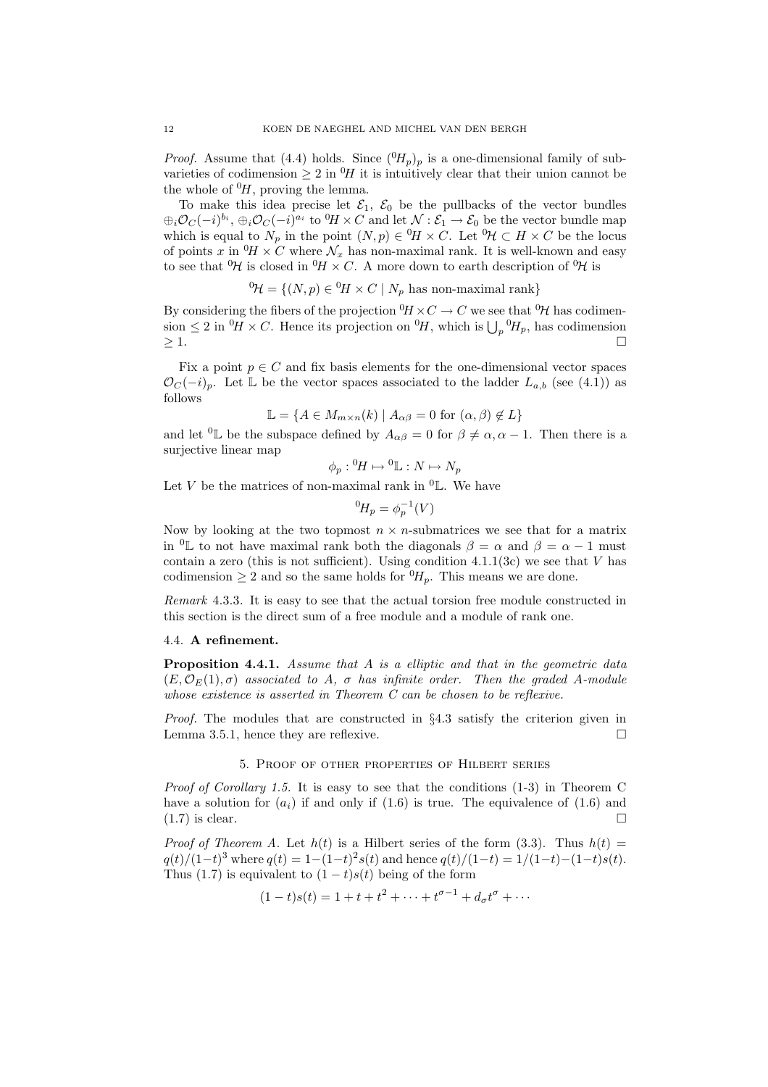*Proof.* Assume that (4.4) holds. Since  $({}^{0}H_p)_p$  is a one-dimensional family of subvarieties of codimension  $\geq 2$  in  $^{0}H$  it is intuitively clear that their union cannot be the whole of  $^{0}H$ , proving the lemma.

To make this idea precise let  $\mathcal{E}_1$ ,  $\mathcal{E}_0$  be the pullbacks of the vector bundles  $\oplus_i\mathcal{O}_C(-i)^{b_i}, \oplus_i\mathcal{O}_C(-i)^{a_i}$  to  ${}^0H\times C$  and let  $\mathcal{N}:\mathcal{E}_1\to\mathcal{E}_0$  be the vector bundle map which is equal to  $N_p$  in the point  $(N, p) \in {}^0H \times C$ . Let  ${}^0\mathcal{H} \subset H \times C$  be the locus of points x in  ${}^0H \times C$  where  $\mathcal{N}_x$  has non-maximal rank. It is well-known and easy to see that  ${}^{0}\mathcal{H}$  is closed in  ${}^{0}\mathcal{H} \times C$ . A more down to earth description of  ${}^{0}\mathcal{H}$  is

$$
{}^{0}\mathcal{H} = \{(N, p) \in {}^{0}\mathcal{H} \times C \mid N_{p} \text{ has non-maximal rank}\}\
$$

By considering the fibers of the projection  ${}^{0}H \times C \to C$  we see that  ${}^{0}\mathcal{H}$  has codimension  $\leq 2$  in  ${}^{0}\!H \times C$ . Hence its projection on  ${}^{0}\!H$ , which is  $\bigcup_{p} {}^{0}\!H_p$ , has codimension  $\geq$  1.

Fix a point  $p\in C$  and fix basis elements for the one-dimensional vector spaces  $\mathcal{O}_C(-i)_p$ . Let L be the vector spaces associated to the ladder  $L_{a,b}$  (see (4.1)) as follows

$$
\mathbb{L} = \{ A \in M_{m \times n}(k) \mid A_{\alpha\beta} = 0 \text{ for } (\alpha, \beta) \notin L \}
$$

and let <sup>0</sup>L be the subspace defined by  $A_{\alpha\beta} = 0$  for  $\beta \neq \alpha, \alpha - 1$ . Then there is a surjective linear map

$$
\phi_p: {}^0H \mapsto {}^0L : N \mapsto N_p
$$

Let V be the matrices of non-maximal rank in  ${}^{0}$ L. We have

$$
{}^{0}H_p = \phi_p^{-1}(V)
$$

Now by looking at the two topmost  $n \times n$ -submatrices we see that for a matrix in  ${}^{0}$ L to not have maximal rank both the diagonals  $\beta = \alpha$  and  $\beta = \alpha - 1$  must contain a zero (this is not sufficient). Using condition  $4.1.1(3c)$  we see that V has codimension  $\geq 2$  and so the same holds for  ${}^{0}H_p$ . This means we are done.

Remark 4.3.3. It is easy to see that the actual torsion free module constructed in this section is the direct sum of a free module and a module of rank one.

## 4.4. A refinement.

**Proposition 4.4.1.** Assume that  $A$  is a elliptic and that in the geometric data  $(E, \mathcal{O}_E(1), \sigma)$  associated to A,  $\sigma$  has infinite order. Then the graded A-module whose existence is asserted in Theorem C can be chosen to be reflexive.

Proof. The modules that are constructed in §4.3 satisfy the criterion given in Lemma 3.5.1, hence they are reflexive.

#### 5. Proof of other properties of Hilbert series

*Proof of Corollary 1.5.* It is easy to see that the conditions  $(1-3)$  in Theorem C have a solution for  $(a_i)$  if and only if  $(1.6)$  is true. The equivalence of  $(1.6)$  and  $(1.7)$  is clear.

*Proof of Theorem A.* Let  $h(t)$  is a Hilbert series of the form (3.3). Thus  $h(t)$  =  $q(t)/(1-t)^3$  where  $q(t) = 1-(1-t)^2s(t)$  and hence  $q(t)/(1-t) = 1/(1-t)-(1-t)s(t)$ . Thus (1.7) is equivalent to  $(1-t)s(t)$  being of the form

$$
(1-t)s(t) = 1 + t + t2 + \dots + t{\sigma-1} + d_{\sigma}t{\sigma} + \dots
$$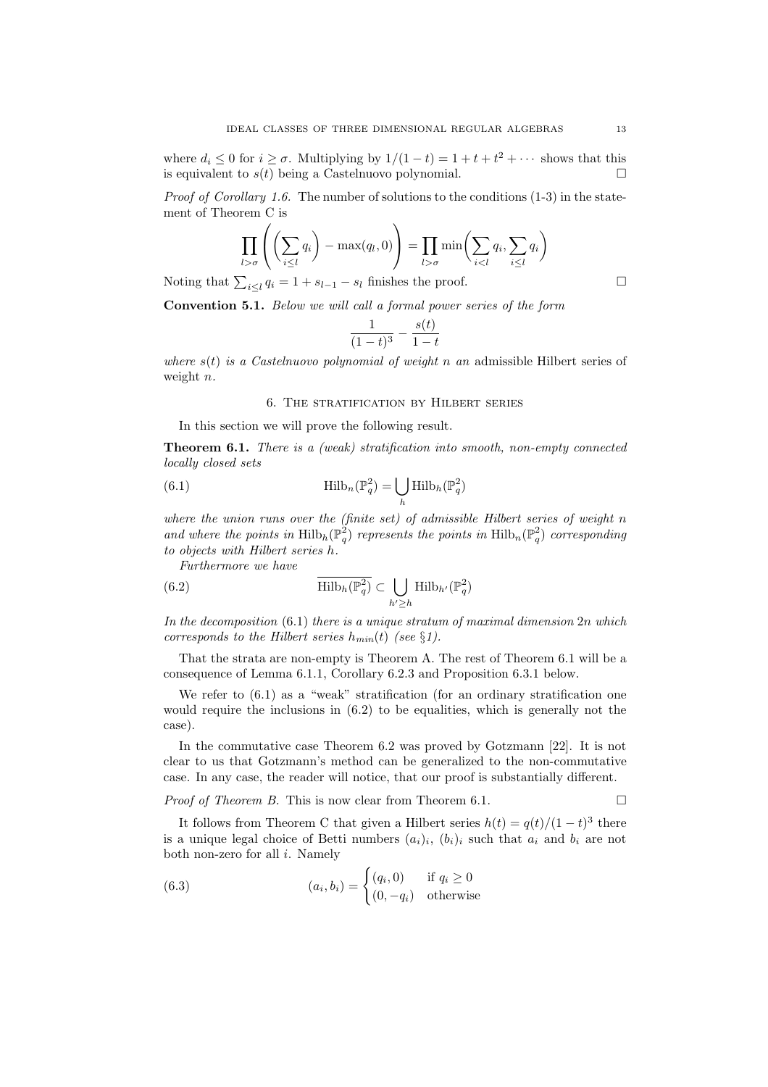where  $d_i \leq 0$  for  $i \geq \sigma$ . Multiplying by  $1/(1-t) = 1 + t + t^2 + \cdots$  shows that this is equivalent to  $s(t)$  being a Castelnuovo polynomial.

*Proof of Corollary 1.6.* The number of solutions to the conditions  $(1-3)$  in the statement of Theorem C is

$$
\prod_{l > \sigma} \left( \left( \sum_{i \leq l} q_i \right) - \max(q_l, 0) \right) = \prod_{l > \sigma} \min \left( \sum_{i < l} q_i, \sum_{i \leq l} q_i \right)
$$

Noting that  $\sum_{i\leq l} q_i = 1 + s_{l-1} - s_l$  finishes the proof.

Convention 5.1. Below we will call a formal power series of the form

$$
\frac{1}{(1-t)^3} - \frac{s(t)}{1-t}
$$

where  $s(t)$  is a Castelnuovo polynomial of weight n an admissible Hilbert series of weight *n*.

## 6. The stratification by Hilbert series

In this section we will prove the following result.

Theorem 6.1. There is a (weak) stratification into smooth, non-empty connected locally closed sets

(6.1) 
$$
\operatorname{Hilb}_n(\mathbb{P}_q^2) = \bigcup_h \operatorname{Hilb}_n(\mathbb{P}_q^2)
$$

where the union runs over the (finite set) of admissible Hilbert series of weight n and where the points in  $\mathrm{Hilb}_h(\mathbb{P}_q^2)$  represents the points in  $\mathrm{Hilb}_n(\mathbb{P}_q^2)$  corresponding to objects with Hilbert series h.

Furthermore we have

(6.2) 
$$
\overline{\mathrm{Hilb}_h(\mathbb{P}_q^2)} \subset \bigcup_{h' \geq h} \mathrm{Hilb}_{h'}(\mathbb{P}_q^2)
$$

In the decomposition  $(6.1)$  there is a unique stratum of maximal dimension  $2n$  which corresponds to the Hilbert series  $h_{min}(t)$  (see §1).

That the strata are non-empty is Theorem A. The rest of Theorem 6.1 will be a consequence of Lemma 6.1.1, Corollary 6.2.3 and Proposition 6.3.1 below.

We refer to  $(6.1)$  as a "weak" stratification (for an ordinary stratification one would require the inclusions in  $(6.2)$  to be equalities, which is generally not the case).

In the commutative case Theorem 6.2 was proved by Gotzmann [22]. It is not clear to us that Gotzmann's method can be generalized to the non-commutative case. In any case, the reader will notice, that our proof is substantially different.

*Proof of Theorem B.* This is now clear from Theorem 6.1.  $\Box$ 

It follows from Theorem C that given a Hilbert series  $h(t) = q(t)/(1-t)^3$  there is a unique legal choice of Betti numbers  $(a_i)_i$ ,  $(b_i)_i$  such that  $a_i$  and  $b_i$  are not both non-zero for all  $i$ . Namely

(6.3) 
$$
(a_i, b_i) = \begin{cases} (q_i, 0) & \text{if } q_i \ge 0\\ (0, -q_i) & \text{otherwise} \end{cases}
$$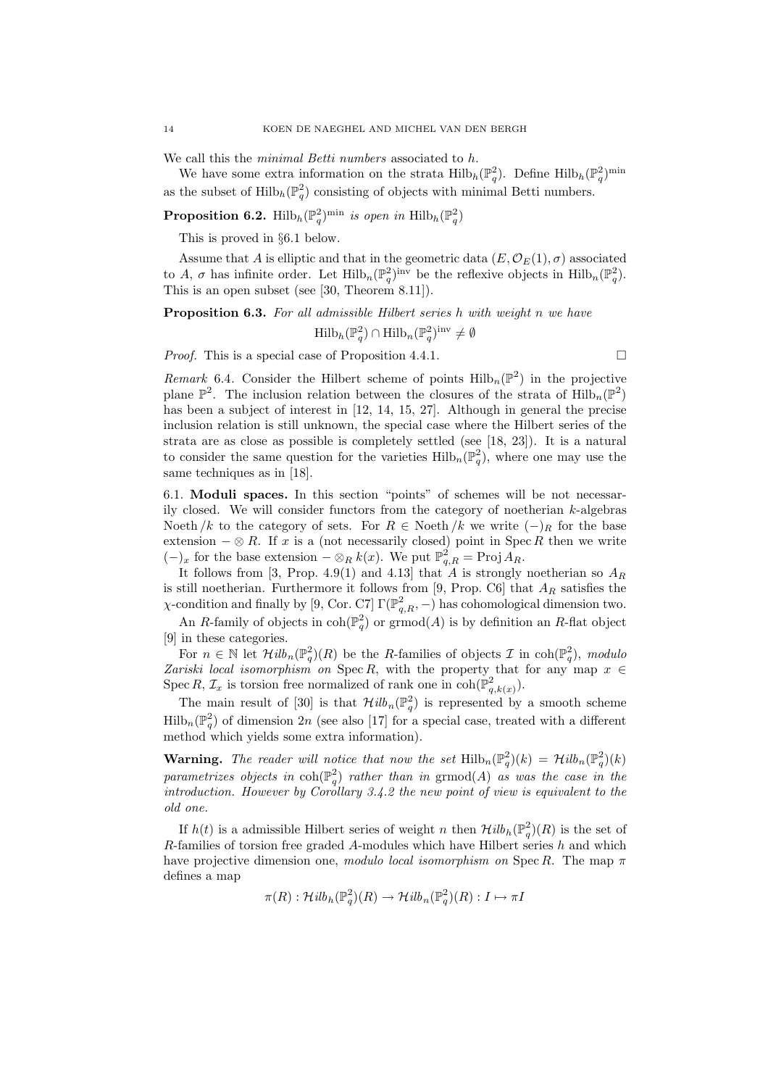We call this the *minimal Betti numbers* associated to h.

We have some extra information on the strata  $\mathrm{Hilb}_h(\mathbb{P}_q^2)$ . Define  $\mathrm{Hilb}_h(\mathbb{P}_q^2)$ <sup>min</sup> as the subset of  $\mathrm{Hilb}_h(\mathbb{P}^2_q)$  consisting of objects with minimal Betti numbers.

**Proposition 6.2.** Hilb<sub>h</sub> $(\mathbb{P}_q^2)^{\min}$  is open in  $\text{Hilb}_h(\mathbb{P}_q^2)$ 

This is proved in §6.1 below.

Assume that A is elliptic and that in the geometric data  $(E, \mathcal{O}_E(1), \sigma)$  associated to A,  $\sigma$  has infinite order. Let  $\text{Hilb}_n(\mathbb{P}_q^2)^{\text{inv}}$  be the reflexive objects in  $\text{Hilb}_n(\mathbb{P}_q^2)$ . This is an open subset (see [30, Theorem 8.11]).

Proposition 6.3. For all admissible Hilbert series h with weight n we have

$$
\mathrm{Hilb}_{h}(\mathbb{P}_{q}^{2})\cap \mathrm{Hilb}_{n}(\mathbb{P}_{q}^{2})^{\mathrm{inv}}\neq\emptyset
$$

*Proof.* This is a special case of Proposition 4.4.1.

Remark 6.4. Consider the Hilbert scheme of points  $\text{Hilb}_n(\mathbb{P}^2)$  in the projective plane  $\mathbb{P}^2$ . The inclusion relation between the closures of the strata of  $\mathrm{Hilb}_n(\mathbb{P}^2)$ has been a subject of interest in [12, 14, 15, 27]. Although in general the precise inclusion relation is still unknown, the special case where the Hilbert series of the strata are as close as possible is completely settled (see [18, 23]). It is a natural to consider the same question for the varieties  $\mathrm{Hilb}_{n}(\mathbb{P}_{q}^{2}),$  where one may use the same techniques as in [18].

6.1. Moduli spaces. In this section "points" of schemes will be not necessarily closed. We will consider functors from the category of noetherian  $k$ -algebras Noeth /k to the category of sets. For  $R \in$  Noeth /k we write  $(-)$ <sub>R</sub> for the base extension  $-\otimes R$ . If x is a (not necessarily closed) point in Spec R then we write  $(-)_x$  for the base extension  $-\otimes_R k(x)$ . We put  $\mathbb{P}^2_{q,R} = \text{Proj } A_R$ .

It follows from [3, Prop. 4.9(1) and 4.13] that A is strongly noetherian so  $A_R$ is still noetherian. Furthermore it follows from [9, Prop. C6] that  $A_R$  satisfies the  $\chi$ -condition and finally by [9, Cor. C7]  $\Gamma(\mathbb{P}^2_{q,R},-)$  has cohomological dimension two.

An R-family of objects in  $\text{coh}(\mathbb{P}^2_q)$  or  $\text{grmod}(A)$  is by definition an R-flat object [9] in these categories.

For  $n \in \mathbb{N}$  let  $\mathcal{H}ilb_n(\mathbb{P}_q^2)(R)$  be the R-families of objects  $\mathcal I$  in  $\text{coh}(\mathbb{P}_q^2)$ , modulo Zariski local isomorphism on Spec R, with the property that for any map  $x \in$ Spec R,  $\mathcal{I}_x$  is torsion free normalized of rank one in  $\text{coh}(\mathbb{P}^2_{q,k(x)})$ .

The main result of [30] is that  $\mathcal{H}ilb_n(\mathbb{P}^2_q)$  is represented by a smooth scheme  $\text{Hilb}_n(\mathbb{P}_q^2)$  of dimension  $2n$  (see also [17] for a special case, treated with a different method which yields some extra information).

**Warning.** The reader will notice that now the set  $\text{Hilb}_n(\mathbb{P}_q^2)(k) = \mathcal{H}ilb_n(\mathbb{P}_q^2)(k)$ parametrizes objects in  $\text{coh}(\mathbb{P}^2_q)$  rather than in grmod(A) as was the case in the introduction. However by Corollary 3.4.2 the new point of view is equivalent to the old one.

If  $h(t)$  is a admissible Hilbert series of weight n then  $\mathcal{H}ilb_h(\mathbb{P}^2_q)(R)$  is the set of  $R$ -families of torsion free graded A-modules which have Hilbert series  $h$  and which have projective dimension one, modulo local isomorphism on Spec R. The map  $\pi$ defines a map

$$
\pi(R): \mathcal{H}ilb_h(\mathbb{P}_q^2)(R) \to \mathcal{H}ilb_n(\mathbb{P}_q^2)(R): I \mapsto \pi I
$$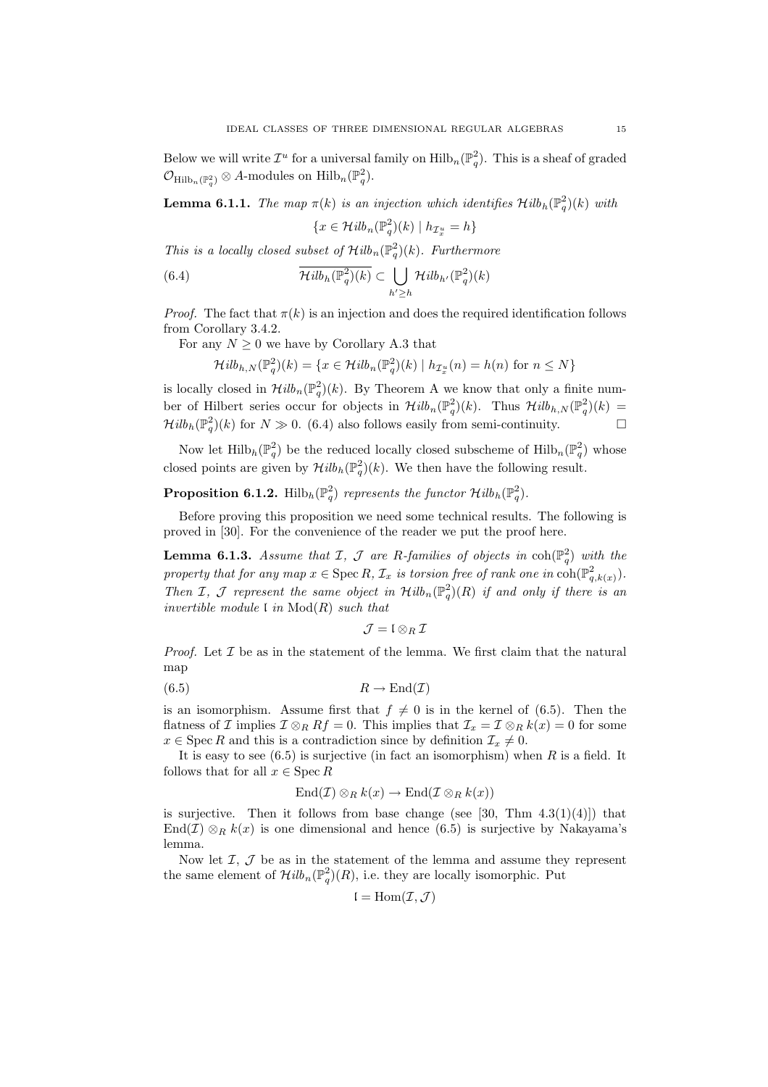Below we will write  $\mathcal{I}^u$  for a universal family on  $\text{Hilb}_n(\mathbb{P}^2_q)$ . This is a sheaf of graded  $\mathcal{O}_{\text{Hilb}_n(\mathbb{P}_q^2)} \otimes A$ -modules on  $\text{Hilb}_n(\mathbb{P}_q^2)$ .

**Lemma 6.1.1.** The map  $\pi(k)$  is an injection which identifies  $\mathcal{H}ilb_h(\mathbb{P}_q^2)(k)$  with  $\{x \in \mathcal{H}ilb_n(\mathbb{P}_q^2)(k) \mid h_{\mathcal{I}^u_x} = h\}$ 

This is a locally closed subset of  $Hilb_n(\mathbb{P}^2_q)(k)$ . Furthermore

(6.4) 
$$
\overline{\mathcal{H}ilb_h(\mathbb{P}_q^2)(k)} \subset \bigcup_{h' \geq h} \mathcal{H}ilb_{h'}(\mathbb{P}_q^2)(k)
$$

*Proof.* The fact that  $\pi(k)$  is an injection and does the required identification follows from Corollary 3.4.2.

For any  $N \geq 0$  we have by Corollary A.3 that

$$
\mathcal{H}ilb_{h,N}(\mathbb{P}^2_q)(k) = \{x \in \mathcal{H}ilb_n(\mathbb{P}^2_q)(k) \mid h_{\mathcal{I}^u_x}(n) = h(n) \text{ for } n \le N\}
$$

is locally closed in  $\mathcal{H}ilb_n(\mathbb{P}_q^2)(k)$ . By Theorem A we know that only a finite number of Hilbert series occur for objects in  $\mathcal{H}ilb_n(\mathbb{P}_q^2)(k)$ . Thus  $\mathcal{H}ilb_{h,N}(\mathbb{P}_q^2)(k) =$  $\mathcal{H}ilb_h(\mathbb{P}_q^2)(k)$  for  $N \gg 0$ . (6.4) also follows easily from semi-continuity.

Now let  $\text{Hilb}_h(\mathbb{P}_q^2)$  be the reduced locally closed subscheme of  $\text{Hilb}_n(\mathbb{P}_q^2)$  whose closed points are given by  $\mathcal{H}ilb_h(\mathbb{P}_q^2)(k)$ . We then have the following result.

# **Proposition 6.1.2.** Hilb<sub>h</sub> $(\mathbb{P}_q^2)$  represents the functor  $\mathcal{H}ilb_h(\mathbb{P}_q^2)$ .

Before proving this proposition we need some technical results. The following is proved in [30]. For the convenience of the reader we put the proof here.

**Lemma 6.1.3.** Assume that I, J are R-families of objects in  $\text{coh}(\mathbb{P}^2_q)$  with the property that for any map  $x \in \text{Spec } R$ ,  $\mathcal{I}_x$  is torsion free of rank one in  $\text{coh}(\mathbb{P}^2_{q,k(x)})$ . Then I, J represent the same object in  $Hilb_n(\mathbb{P}_q^2)(R)$  if and only if there is an invertible module  $\mathfrak l$  in  $\mathrm{Mod}(R)$  such that

$$
\mathcal{J}=\mathfrak{l}\otimes_R\mathcal{I}
$$

*Proof.* Let  $\mathcal I$  be as in the statement of the lemma. We first claim that the natural map

$$
(6.5) \t\t R \to \text{End}(\mathcal{I})
$$

is an isomorphism. Assume first that  $f \neq 0$  is in the kernel of (6.5). Then the flatness of I implies  $\mathcal{I} \otimes_R Rf = 0$ . This implies that  $\mathcal{I}_x = \mathcal{I} \otimes_R k(x) = 0$  for some  $x \in \operatorname{Spec} R$  and this is a contradiction since by definition  $\mathcal{I}_x \neq 0$ .

It is easy to see  $(6.5)$  is surjective (in fact an isomorphism) when R is a field. It follows that for all  $x \in \text{Spec } R$ 

$$
\mathrm{End}(\mathcal{I}) \otimes_R k(x) \to \mathrm{End}(\mathcal{I} \otimes_R k(x))
$$

is surjective. Then it follows from base change (see [30, Thm  $4.3(1)(4)$ ]) that End(I)  $\otimes_R k(x)$  is one dimensional and hence (6.5) is surjective by Nakayama's lemma.

Now let  $I, J$  be as in the statement of the lemma and assume they represent the same element of  $\mathcal{H}ilb_n(\mathbb{P}_q^2)(R)$ , i.e. they are locally isomorphic. Put

$$
\mathfrak{l}=\mathrm{Hom}(\mathcal{I},\mathcal{J})
$$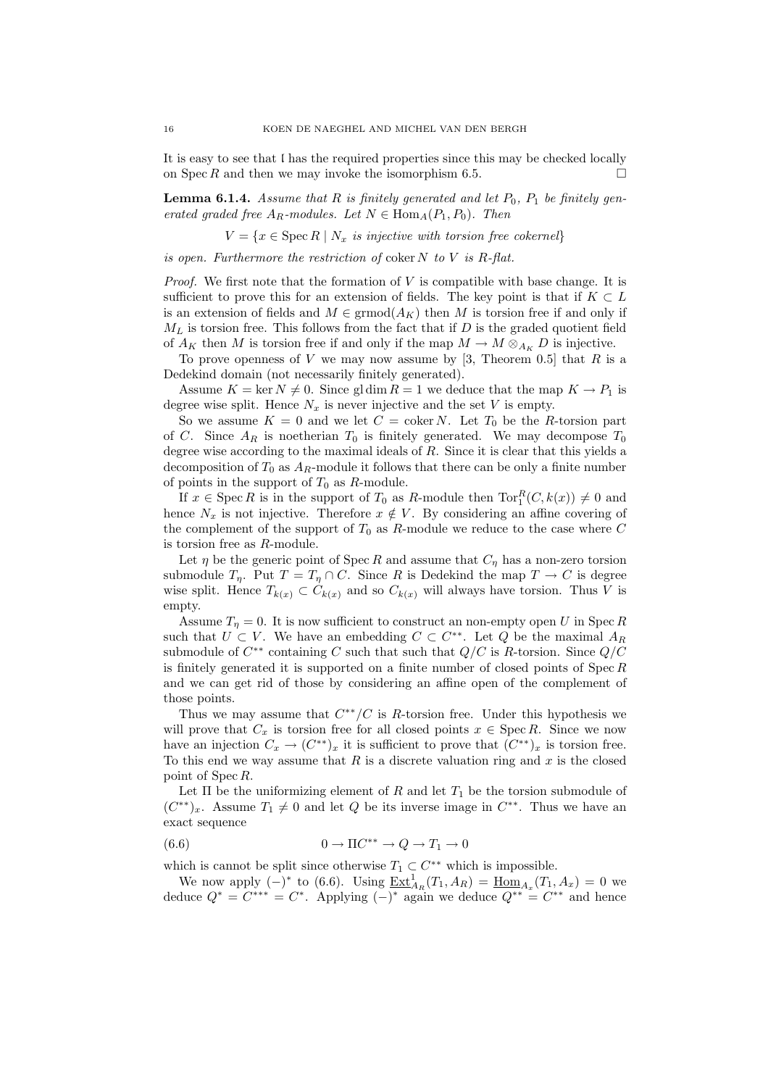It is easy to see that l has the required properties since this may be checked locally on Spec R and then we may invoke the isomorphism 6.5.

**Lemma 6.1.4.** Assume that R is finitely generated and let  $P_0$ ,  $P_1$  be finitely generated graded free  $A_R$ -modules. Let  $N \in \text{Hom}_A(P_1, P_0)$ . Then

 $V = \{x \in \text{Spec } R \mid N_x \text{ is injective with torsion free cokernel}\}\$ 

is open. Furthermore the restriction of coker  $N$  to  $V$  is  $R$ -flat.

*Proof.* We first note that the formation of  $V$  is compatible with base change. It is sufficient to prove this for an extension of fields. The key point is that if  $K \subset L$ is an extension of fields and  $M \in \mathrm{grmod}(A_K)$  then M is torsion free if and only if  $M_L$  is torsion free. This follows from the fact that if  $D$  is the graded quotient field of  $A_K$  then M is torsion free if and only if the map  $M \to M \otimes_{A_K} D$  is injective.

To prove openness of  $V$  we may now assume by [3, Theorem 0.5] that  $R$  is a Dedekind domain (not necessarily finitely generated).

Assume  $K = \ker N \neq 0$ . Since gl dim  $R = 1$  we deduce that the map  $K \rightarrow P_1$  is degree wise split. Hence  $N_x$  is never injective and the set V is empty.

So we assume  $K = 0$  and we let  $C = \text{coker } N$ . Let  $T_0$  be the R-torsion part of C. Since  $A_R$  is noetherian  $T_0$  is finitely generated. We may decompose  $T_0$ degree wise according to the maximal ideals of  $R$ . Since it is clear that this yields a decomposition of  $T_0$  as  $A_R$ -module it follows that there can be only a finite number of points in the support of  $T_0$  as  $R$ -module.

If  $x \in \text{Spec } R$  is in the support of  $T_0$  as R-module then  $\text{Tor}_1^R(C, k(x)) \neq 0$  and hence  $N_x$  is not injective. Therefore  $x \notin V$ . By considering an affine covering of the complement of the support of  $T_0$  as R-module we reduce to the case where  $C$ is torsion free as R-module.

Let  $\eta$  be the generic point of Spec R and assume that  $C_n$  has a non-zero torsion submodule  $T_{\eta}$ . Put  $T = T_{\eta} \cap C$ . Since R is Dedekind the map  $T \to C$  is degree wise split. Hence  $T_{k(x)} \subset C_{k(x)}$  and so  $C_{k(x)}$  will always have torsion. Thus V is empty.

Assume  $T_n = 0$ . It is now sufficient to construct an non-empty open U in Spec R such that  $U \subset V$ . We have an embedding  $C \subset C^{**}$ . Let Q be the maximal  $A_R$ submodule of  $C^{**}$  containing C such that such that  $Q/C$  is R-torsion. Since  $Q/C$ is finitely generated it is supported on a finite number of closed points of  $\text{Spec } R$ and we can get rid of those by considering an affine open of the complement of those points.

Thus we may assume that  $C^{**}/C$  is R-torsion free. Under this hypothesis we will prove that  $C_x$  is torsion free for all closed points  $x \in \text{Spec } R$ . Since we now have an injection  $C_x \to (C^{**})_x$  it is sufficient to prove that  $(C^{**})_x$  is torsion free. To this end we way assume that  $R$  is a discrete valuation ring and  $x$  is the closed point of Spec R.

Let  $\Pi$  be the uniformizing element of  $R$  and let  $T_1$  be the torsion submodule of  $(C^{**})_x$ . Assume  $T_1 \neq 0$  and let Q be its inverse image in  $C^{**}$ . Thus we have an exact sequence

(6.6) 
$$
0 \to \Pi C^{**} \to Q \to T_1 \to 0
$$

which is cannot be split since otherwise  $T_1 \subset C^{**}$  which is impossible.

We now apply  $(-)^*$  to (6.6). Using  $\underline{\text{Ext}}_{A_R}^1(T_1, A_R) = \underline{\text{Hom}}_{A_x}(T_1, A_x) = 0$  we deduce  $Q^* = C^{***} = C^*$ . Applying  $(-)^*$  again we deduce  $Q^{**} = C^{**}$  and hence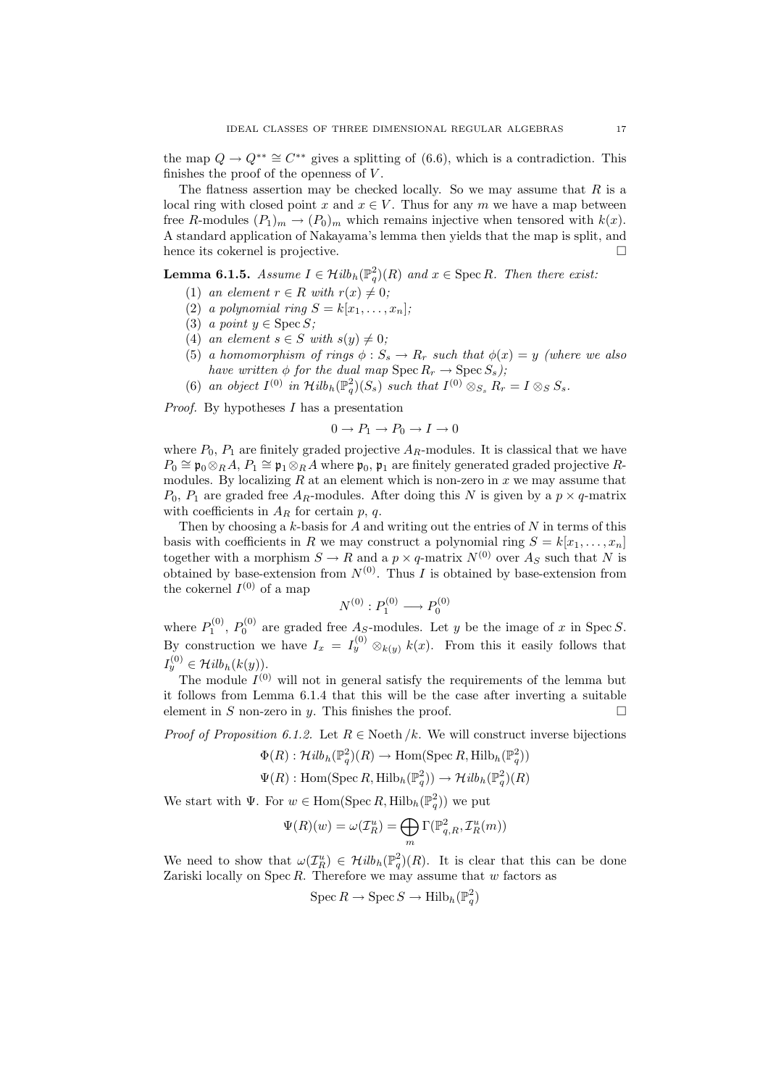the map  $Q \to Q^{**} \cong C^{**}$  gives a splitting of (6.6), which is a contradiction. This finishes the proof of the openness of  $V$ .

The flatness assertion may be checked locally. So we may assume that  $R$  is a local ring with closed point x and  $x \in V$ . Thus for any m we have a map between free R-modules  $(P_1)_m \to (P_0)_m$  which remains injective when tensored with  $k(x)$ . A standard application of Nakayama's lemma then yields that the map is split, and hence its cokernel is projective.

**Lemma 6.1.5.** Assume  $I \in \mathcal{H}ilb_h(\mathbb{P}_q^2)(R)$  and  $x \in \text{Spec } R$ . Then there exist:

- (1) an element  $r \in R$  with  $r(x) \neq 0$ ;
- (2) a polynomial ring  $S = k[x_1, \ldots, x_n];$
- (3) a point  $y \in \text{Spec } S$ ;
- (4) an element  $s \in S$  with  $s(y) \neq 0$ ;
- (5) a homomorphism of rings  $\phi : S_s \to R_r$  such that  $\phi(x) = y$  (where we also have written  $\phi$  for the dual map  $\text{Spec } R_r \to \text{Spec } S_s$ );
- (6) an object  $I^{(0)}$  in  $\mathcal{H}ilb_h(\mathbb{P}_q^2)(S_s)$  such that  $I^{(0)} \otimes_{S_s} R_r = I \otimes_S S_s$ .

Proof. By hypotheses I has a presentation

$$
0 \to P_1 \to P_0 \to I \to 0
$$

where  $P_0$ ,  $P_1$  are finitely graded projective  $A_R$ -modules. It is classical that we have  $P_0 \cong \mathfrak{p}_0 \otimes_R A$ ,  $P_1 \cong \mathfrak{p}_1 \otimes_R A$  where  $\mathfrak{p}_0$ ,  $\mathfrak{p}_1$  are finitely generated graded projective Rmodules. By localizing  $R$  at an element which is non-zero in  $x$  we may assume that  $P_0$ ,  $P_1$  are graded free  $A_R$ -modules. After doing this N is given by a  $p \times q$ -matrix with coefficients in  $A_R$  for certain p, q.

Then by choosing a  $k$ -basis for  $A$  and writing out the entries of  $N$  in terms of this basis with coefficients in R we may construct a polynomial ring  $S = k[x_1, \ldots, x_n]$ together with a morphism  $S \to R$  and a  $p \times q$ -matrix  $N^{(0)}$  over  $A_S$  such that N is obtained by base-extension from  $N^{(0)}$ . Thus I is obtained by base-extension from the cokernel  $I^{(0)}$  of a map

$$
N^{(0)}:P_1^{(0)}\longrightarrow P_0^{(0)}
$$

where  $P_1^{(0)}$ ,  $P_0^{(0)}$  are graded free  $A_S$ -modules. Let y be the image of x in Spec S. By construction we have  $I_x = I_y^{(0)} \otimes_{k(y)} k(x)$ . From this it easily follows that  $I_y^{(0)} \in \mathcal{H}ilb_h(k(y)).$ 

The module  $I^{(0)}$  will not in general satisfy the requirements of the lemma but it follows from Lemma 6.1.4 that this will be the case after inverting a suitable element in S non-zero in y. This finishes the proof.  $\square$ 

*Proof of Proposition 6.1.2.* Let  $R \in \text{Noeth}/k$ . We will construct inverse bijections

$$
\Phi(R) : \mathcal{H}ilb_h(\mathbb{P}_q^2)(R) \to \text{Hom}(\text{Spec } R, \text{Hilb}_h(\mathbb{P}_q^2))
$$
  

$$
\Psi(R) : \text{Hom}(\text{Spec } R, \text{Hilb}_h(\mathbb{P}_q^2)) \to \mathcal{H}ilb_h(\mathbb{P}_q^2)(R)
$$

We start with  $\Psi$ . For  $w \in \text{Hom}(\text{Spec } R, \text{Hilb}_h(\mathbb{P}_q^2))$  we put

$$
\Psi(R)(w) = \omega(\mathcal{I}_R^u) = \bigoplus_m \Gamma(\mathbb{P}^2_{q,R}, \mathcal{I}_R^u(m))
$$

We need to show that  $\omega(\mathcal{I}_R^u) \in \mathcal{H}ilb_h(\mathbb{P}_q^2)(R)$ . It is clear that this can be done Zariski locally on  $\text{Spec } R$ . Therefore we may assume that w factors as

$$
\operatorname{Spec} R \to \operatorname{Spec} S \to \operatorname{Hilb}_h(\mathbb{P}_q^2)
$$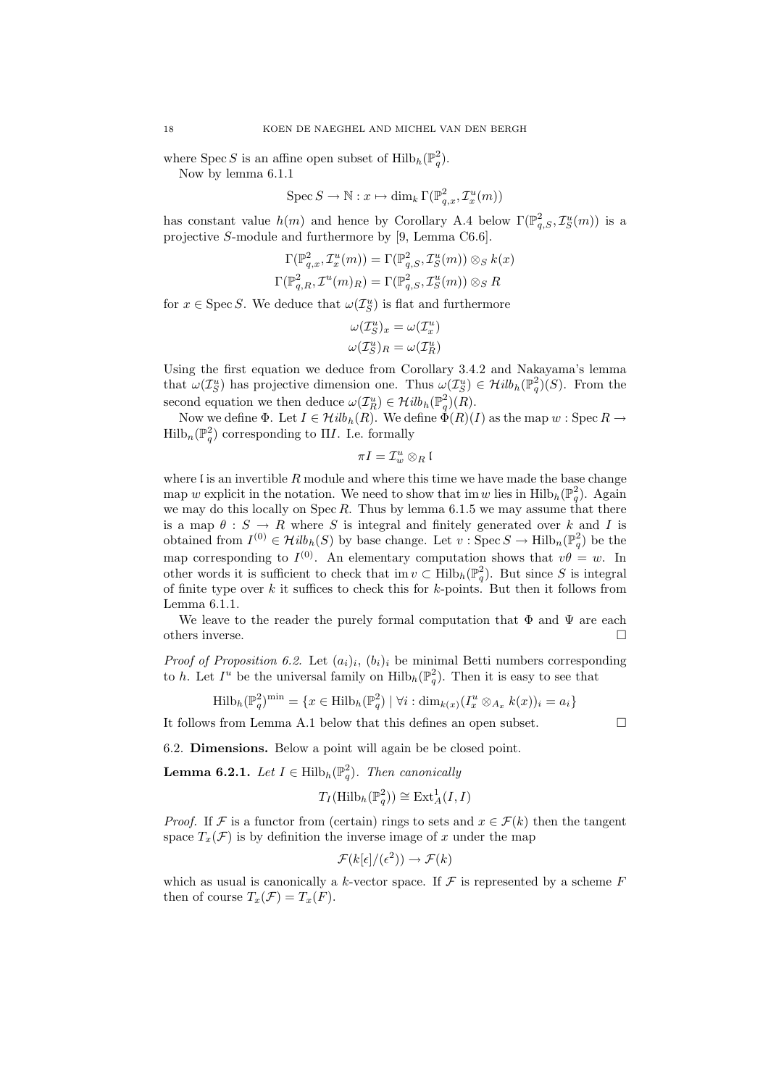where Spec S is an affine open subset of  $\mathrm{Hilb}_{h}(\mathbb{P}_{q}^{2})$ . Now by lemma 6.1.1

$$
\operatorname{Spec} S \to \mathbb{N}: x \mapsto \dim_k \Gamma(\mathbb{P}^2_{q,x}, \mathcal{I}^u_x(m))
$$

has constant value  $h(m)$  and hence by Corollary A.4 below  $\Gamma(\mathbb{P}^2_{q,S},\mathcal{I}^u_S(m))$  is a projective S-module and furthermore by [9, Lemma C6.6].

$$
\Gamma(\mathbb{P}^2_{q,x}, \mathcal{I}^u_x(m)) = \Gamma(\mathbb{P}^2_{q,S}, \mathcal{I}^u_S(m)) \otimes_S k(x)
$$
  

$$
\Gamma(\mathbb{P}^2_{q,R}, \mathcal{I}^u(m)_R) = \Gamma(\mathbb{P}^2_{q,S}, \mathcal{I}^u_S(m)) \otimes_S R
$$

for  $x \in \text{Spec } S$ . We deduce that  $\omega(\mathcal{I}_{S}^{u})$  is flat and furthermore

$$
\omega(\mathcal{I}_S^u)_x = \omega(\mathcal{I}_x^u)
$$

$$
\omega(\mathcal{I}_S^u)_R = \omega(\mathcal{I}_R^u)
$$

Using the first equation we deduce from Corollary 3.4.2 and Nakayama's lemma that  $\omega(\mathcal{I}_{S}^u)$  has projective dimension one. Thus  $\omega(\mathcal{I}_{S}^u) \in \mathcal{H}ilb_h(\mathbb{P}_q^2)(S)$ . From the second equation we then deduce  $\omega(\mathcal{I}_R^u) \in \mathcal{H}ilb_h(\mathbb{P}_q^2)(R)$ .

Now we define  $\Phi$ . Let  $I \in \mathcal{H}ilb_h(R)$ . We define  $\overline{\Phi}(R)(I)$  as the map  $w :$  Spec  $R \to$  $\mathrm{Hilb}_{n}(\mathbb{P}_{q}^{2})$  corresponding to  $\Pi I$ . I.e. formally

 $πI = I_w<sup>u</sup> ⊗<sub>R</sub>$  [

where  $\mathfrak l$  is an invertible  $R$  module and where this time we have made the base change map w explicit in the notation. We need to show that im w lies in  $\text{Hilb}_h(\mathbb{P}_q^2)$ . Again we may do this locally on  $Spec R$ . Thus by lemma 6.1.5 we may assume that there is a map  $\theta : S \to R$  where S is integral and finitely generated over k and I is obtained from  $I^{(0)} \in \mathcal{H}ilb_h(S)$  by base change. Let  $v : \text{Spec } S \to \text{Hilb}_n(\mathbb{P}_q^2)$  be the map corresponding to  $I^{(0)}$ . An elementary computation shows that  $v\theta = w$ . In other words it is sufficient to check that  $\text{im } v \subset \text{Hilb}_h(\mathbb{P}_q^2)$ . But since S is integral of finite type over  $k$  it suffices to check this for  $k$ -points. But then it follows from Lemma 6.1.1.

We leave to the reader the purely formal computation that  $\Phi$  and  $\Psi$  are each others inverse.

*Proof of Proposition 6.2.* Let  $(a_i)_i$ ,  $(b_i)_i$  be minimal Betti numbers corresponding to h. Let  $I^u$  be the universal family on  $\text{Hilb}_h(\mathbb{P}_q^2)$ . Then it is easy to see that

$$
\mathrm{Hilb}_{h}(\mathbb{P}_{q}^{2})^{\mathrm{min}} = \{x \in \mathrm{Hilb}_{h}(\mathbb{P}_{q}^{2}) \mid \forall i : \dim_{k(x)}(I_{x}^{u} \otimes_{A_{x}} k(x))_{i} = a_{i}\}
$$

It follows from Lemma A.1 below that this defines an open subset.

6.2. Dimensions. Below a point will again be be closed point.

**Lemma 6.2.1.** Let  $I \in \text{Hilb}_h(\mathbb{P}_q^2)$ . Then canonically

$$
T_I(\mathrm{Hilb}_h(\mathbb{P}_q^2)) \cong \mathrm{Ext}^1_A(I,I)
$$

*Proof.* If F is a functor from (certain) rings to sets and  $x \in \mathcal{F}(k)$  then the tangent space  $T_x(\mathcal{F})$  is by definition the inverse image of x under the map

$$
\mathcal{F}(k[\epsilon]/(\epsilon^2)) \to \mathcal{F}(k)
$$

which as usual is canonically a k-vector space. If  $\mathcal F$  is represented by a scheme  $F$ then of course  $T_x(\mathcal{F}) = T_x(F)$ .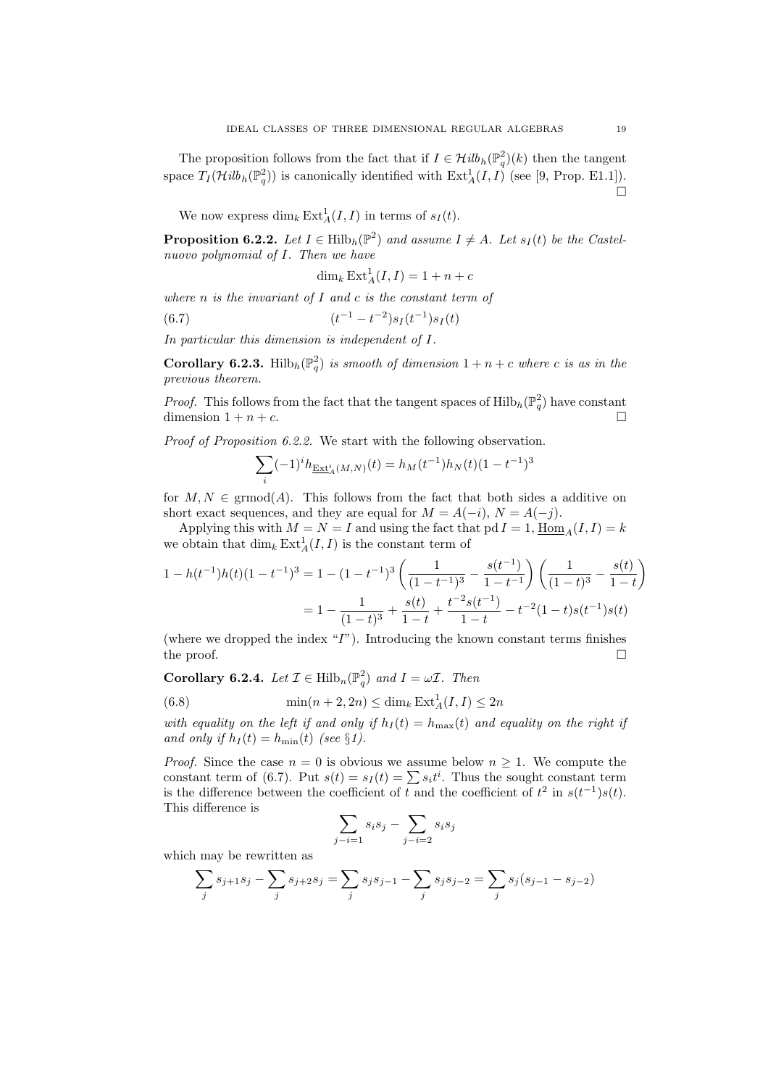The proposition follows from the fact that if  $I \in \mathcal{H}ilb_h(\mathbb{P}^2_q)(k)$  then the tangent space  $T_I(\mathcal{H}ilb_h(\mathbb{P}^2_q))$  is canonically identified with  $\text{Ext}^1_A(I,I)$  (see [9, Prop. E1.1]).  $\Box$ 

We now express  $\dim_k \text{Ext}^1_A(I,I)$  in terms of  $s_I(t)$ .

**Proposition 6.2.2.** Let  $I \in Hilb_h(\mathbb{P}^2)$  and assume  $I \neq A$ . Let  $s_I(t)$  be the Castelnuovo polynomial of I. Then we have

$$
\dim_k \operatorname{Ext}_A^1(I, I) = 1 + n + c
$$

where  $n$  is the invariant of  $I$  and  $c$  is the constant term of

(6.7) 
$$
(t^{-1} - t^{-2})s_I(t^{-1})s_I(t)
$$

In particular this dimension is independent of I.

**Corollary 6.2.3.** Hilb<sub>h</sub> $(\mathbb{P}_q^2)$  is smooth of dimension  $1 + n + c$  where c is as in the previous theorem.

*Proof.* This follows from the fact that the tangent spaces of  $\text{Hilb}_h(\mathbb{P}_q^2)$  have constant dimension  $1 + n + c$ .

Proof of Proposition 6.2.2. We start with the following observation.

$$
\sum_i (-1)^i h_{\underline{\operatorname{Ext}}^i_A(M,N)}(t) = h_M(t^{-1}) h_N(t) (1-t^{-1})^3
$$

for  $M, N \in \text{grmod}(A)$ . This follows from the fact that both sides a additive on short exact sequences, and they are equal for  $M = A(-i)$ ,  $N = A(-i)$ .

Applying this with  $M = N = I$  and using the fact that pd  $I = 1$ ,  $\underline{\text{Hom}}_A(I, I) = k$ we obtain that  $\dim_k \text{Ext}^1_A(I, I)$  is the constant term of

$$
1 - h(t^{-1})h(t)(1 - t^{-1})^3 = 1 - (1 - t^{-1})^3 \left(\frac{1}{(1 - t^{-1})^3} - \frac{s(t^{-1})}{1 - t^{-1}}\right) \left(\frac{1}{(1 - t)^3} - \frac{s(t)}{1 - t}\right)
$$

$$
= 1 - \frac{1}{(1 - t)^3} + \frac{s(t)}{1 - t} + \frac{t^{-2}s(t^{-1})}{1 - t} - t^{-2}(1 - t)s(t^{-1})s(t)
$$

(where we dropped the index  $T$ ). Introducing the known constant terms finishes the proof.  $\Box$ 

**Corollary 6.2.4.** Let  $\mathcal{I} \in \text{Hilb}_n(\mathbb{P}_q^2)$  and  $I = \omega \mathcal{I}$ . Then

(6.8) 
$$
\min(n+2, 2n) \leq \dim_k \operatorname{Ext}_A^1(I, I) \leq 2n
$$

with equality on the left if and only if  $h_I(t) = h_{\text{max}}(t)$  and equality on the right if and only if  $h_I(t) = h_{\min}(t)$  (see §1).

*Proof.* Since the case  $n = 0$  is obvious we assume below  $n \geq 1$ . We compute the constant term of (6.7). Put  $s(t) = s<sub>I</sub>(t) = \sum s<sub>i</sub>t<sup>i</sup>$ . Thus the sought constant term is the difference between the coefficient of t and the coefficient of  $t^2$  in  $s(t^{-1})s(t)$ . This difference is

$$
\sum_{j-i=1} s_i s_j - \sum_{j-i=2} s_i s_j
$$

which may be rewritten as

$$
\sum_{j} s_{j+1} s_j - \sum_{j} s_{j+2} s_j = \sum_{j} s_j s_{j-1} - \sum_{j} s_j s_{j-2} = \sum_{j} s_j (s_{j-1} - s_{j-2})
$$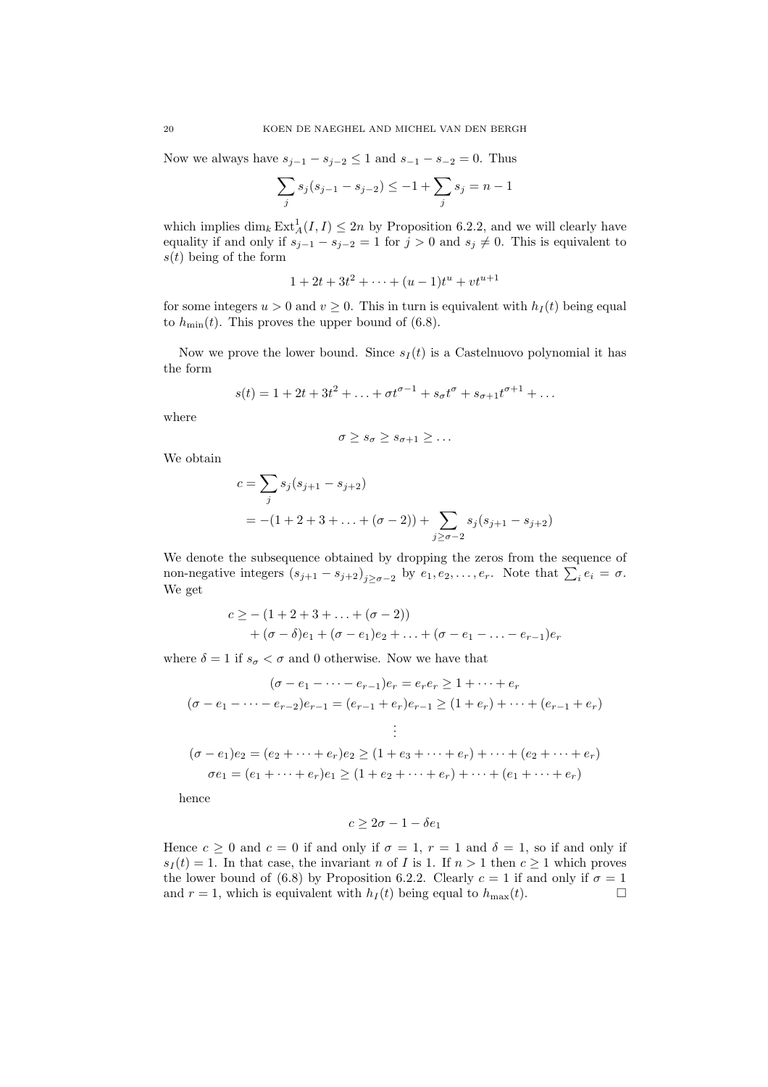Now we always have  $s_{j-1} - s_{j-2} \leq 1$  and  $s_{-1} - s_{-2} = 0$ . Thus

$$
\sum_{j} s_j (s_{j-1} - s_{j-2}) \le -1 + \sum_{j} s_j = n - 1
$$

which implies  $\dim_k \text{Ext}^1_A(I, I) \leq 2n$  by Proposition 6.2.2, and we will clearly have equality if and only if  $s_{j-1} - s_{j-2} = 1$  for  $j > 0$  and  $s_j \neq 0$ . This is equivalent to  $s(t)$  being of the form

$$
1 + 2t + 3t^2 + \dots + (u - 1)t^u + vt^{u+1}
$$

for some integers  $u > 0$  and  $v \ge 0$ . This in turn is equivalent with  $h_I(t)$  being equal to  $h_{\text{min}}(t)$ . This proves the upper bound of (6.8).

Now we prove the lower bound. Since  $s_I(t)$  is a Castelnuovo polynomial it has the form

$$
s(t) = 1 + 2t + 3t^{2} + \ldots + \sigma t^{\sigma - 1} + s_{\sigma}t^{\sigma} + s_{\sigma+1}t^{\sigma+1} + \ldots
$$

where

$$
\sigma \geq s_{\sigma} \geq s_{\sigma+1} \geq \ldots
$$

We obtain

$$
c = \sum_{j} s_j (s_{j+1} - s_{j+2})
$$
  
= -(1 + 2 + 3 + ... + (\sigma - 2)) +  $\sum_{j \ge \sigma - 2} s_j (s_{j+1} - s_{j+2})$ 

We denote the subsequence obtained by dropping the zeros from the sequence of non-negative integers  $(s_{j+1} - s_{j+2})_{j \ge \sigma - 2}$  by  $e_1, e_2, \ldots, e_r$ . Note that  $\sum_i e_i = \sigma$ . We get

$$
c \geq -(1+2+3+\ldots+(\sigma-2)) +(\sigma-\delta)e_1+(\sigma-e_1)e_2+\ldots+(\sigma-e_1-\ldots-e_{r-1})e_r
$$

where  $\delta = 1$  if  $s_{\sigma} < \sigma$  and 0 otherwise. Now we have that

$$
(\sigma - e_1 - \dots - e_{r-1})e_r = e_re_r \ge 1 + \dots + e_r
$$
  
\n
$$
(\sigma - e_1 - \dots - e_{r-2})e_{r-1} = (e_{r-1} + e_r)e_{r-1} \ge (1 + e_r) + \dots + (e_{r-1} + e_r)
$$
  
\n
$$
\vdots
$$
  
\n
$$
(\sigma - e_1)e_2 = (e_2 + \dots + e_r)e_2 \ge (1 + e_3 + \dots + e_r) + \dots + (e_2 + \dots + e_r)
$$
  
\n
$$
\sigma e_1 = (e_1 + \dots + e_r)e_1 \ge (1 + e_2 + \dots + e_r) + \dots + (e_1 + \dots + e_r)
$$

hence

$$
c \ge 2\sigma - 1 - \delta e_1
$$

Hence  $c \ge 0$  and  $c = 0$  if and only if  $\sigma = 1$ ,  $r = 1$  and  $\delta = 1$ , so if and only if  $s_I(t) = 1$ . In that case, the invariant n of I is 1. If  $n > 1$  then  $c \ge 1$  which proves the lower bound of (6.8) by Proposition 6.2.2. Clearly  $c = 1$  if and only if  $\sigma = 1$ and  $r = 1$ , which is equivalent with  $h_I(t)$  being equal to  $h_{\text{max}}(t)$ .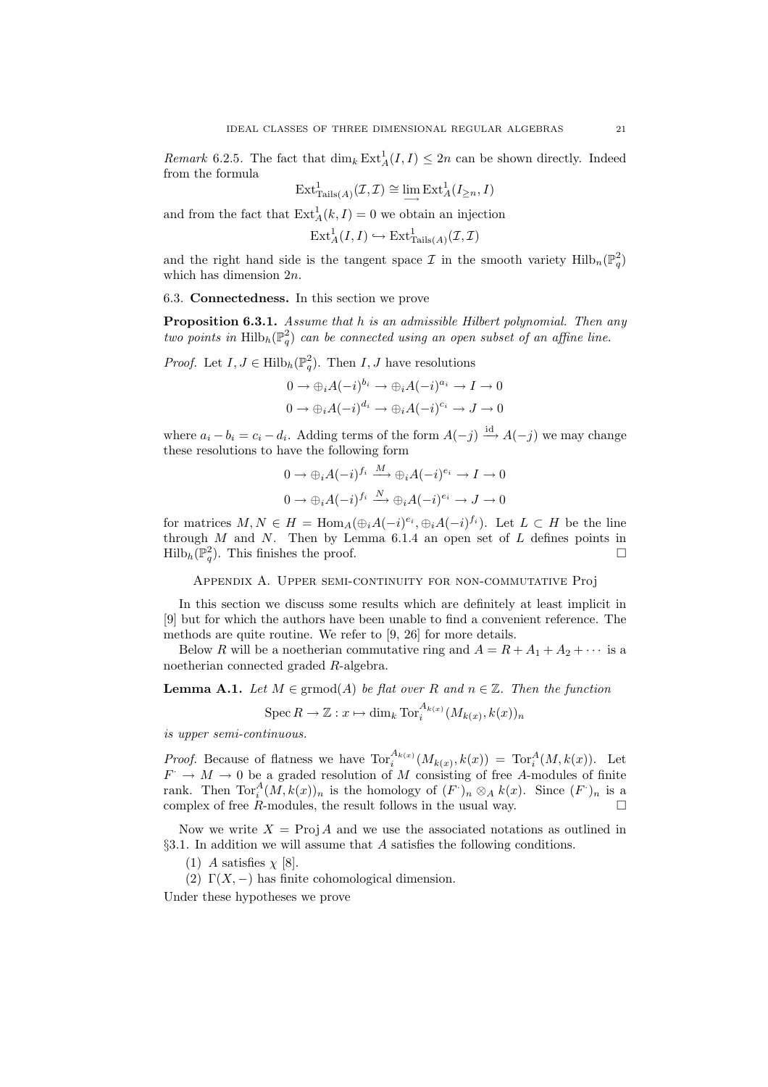*Remark* 6.2.5. The fact that  $\dim_k \text{Ext}^1_A(I, I) \leq 2n$  can be shown directly. Indeed from the formula

$$
\operatorname{Ext}^1_{\operatorname{Tails}(A)}(\mathcal{I},\mathcal{I}) \cong \lim_{\longrightarrow} \operatorname{Ext}^1_A(I_{\geq n},I)
$$

and from the fact that  $\text{Ext}_{A}^{1}(k, I) = 0$  we obtain an injection

$$
\mathrm{Ext}^1_A(I,I) \hookrightarrow \mathrm{Ext}^1_{\mathrm{Tails}(A)}(\mathcal{I},\mathcal{I})
$$

and the right hand side is the tangent space  $\mathcal I$  in the smooth variety  $\text{Hilb}_n(\mathbb{P}_q^2)$ which has dimension 2n.

6.3. Connectedness. In this section we prove

**Proposition 6.3.1.** Assume that h is an admissible Hilbert polynomial. Then any two points in  $\mathrm{Hilb}_h(\mathbb{P}^2_q)$  can be connected using an open subset of an affine line.

*Proof.* Let  $I, J \in \text{Hilb}_h(\mathbb{P}_q^2)$ . Then  $I, J$  have resolutions

$$
0 \to \bigoplus_i A(-i)^{b_i} \to \bigoplus_i A(-i)^{a_i} \to I \to 0
$$
  

$$
0 \to \bigoplus_i A(-i)^{d_i} \to \bigoplus_i A(-i)^{c_i} \to J \to 0
$$

where  $a_i - b_i = c_i - d_i$ . Adding terms of the form  $A(-j) \stackrel{\text{id}}{\longrightarrow} A(-j)$  we may change these resolutions to have the following form

$$
0 \to \bigoplus_i A(-i)^{f_i} \xrightarrow{M} \bigoplus_i A(-i)^{e_i} \to I \to 0
$$
  

$$
0 \to \bigoplus_i A(-i)^{f_i} \xrightarrow{N} \bigoplus_i A(-i)^{e_i} \to J \to 0
$$

for matrices  $M, N \in H = \text{Hom}_A(\bigoplus_i A(-i)^{e_i}, \bigoplus_i A(-i)^{f_i})$ . Let  $L \subset H$  be the line through  $M$  and  $N$ . Then by Lemma 6.1.4 an open set of  $L$  defines points in  $\text{Hilb}_h(\mathbb{P}_q^2)$ . This finishes the proof.

Appendix A. Upper semi-continuity for non-commutative Proj

In this section we discuss some results which are definitely at least implicit in [9] but for which the authors have been unable to find a convenient reference. The methods are quite routine. We refer to [9, 26] for more details.

Below R will be a noetherian commutative ring and  $A = R + A_1 + A_2 + \cdots$  is a noetherian connected graded R-algebra.

**Lemma A.1.** Let  $M \in \mathrm{grmod}(A)$  be flat over R and  $n \in \mathbb{Z}$ . Then the function

$$
\operatorname{Spec} R \to \mathbb{Z}: x \mapsto \dim_k \operatorname{Tor}_i^{A_{k(x)}}(M_{k(x)}, k(x))_n
$$

is upper semi-continuous.

*Proof.* Because of flatness we have  $\text{Tor}_i^{A_{k(x)}}(M_{k(x)}, k(x)) = \text{Tor}_i^A(M, k(x))$ . Let  $F \rightarrow M \rightarrow 0$  be a graded resolution of M consisting of free A-modules of finite rank. Then  $\text{Tor}_i^A(M, k(x))_n$  is the homology of  $(F)_{n} \otimes_A k(x)$ . Since  $(F)_{n}$  is a complex of free  $R$ -modules, the result follows in the usual way.  $\Box$ 

Now we write  $X = \text{Proj } A$  and we use the associated notations as outlined in §3.1. In addition we will assume that A satisfies the following conditions.

(1) A satisfies  $\chi$  [8].

(2)  $\Gamma(X, -)$  has finite cohomological dimension.

Under these hypotheses we prove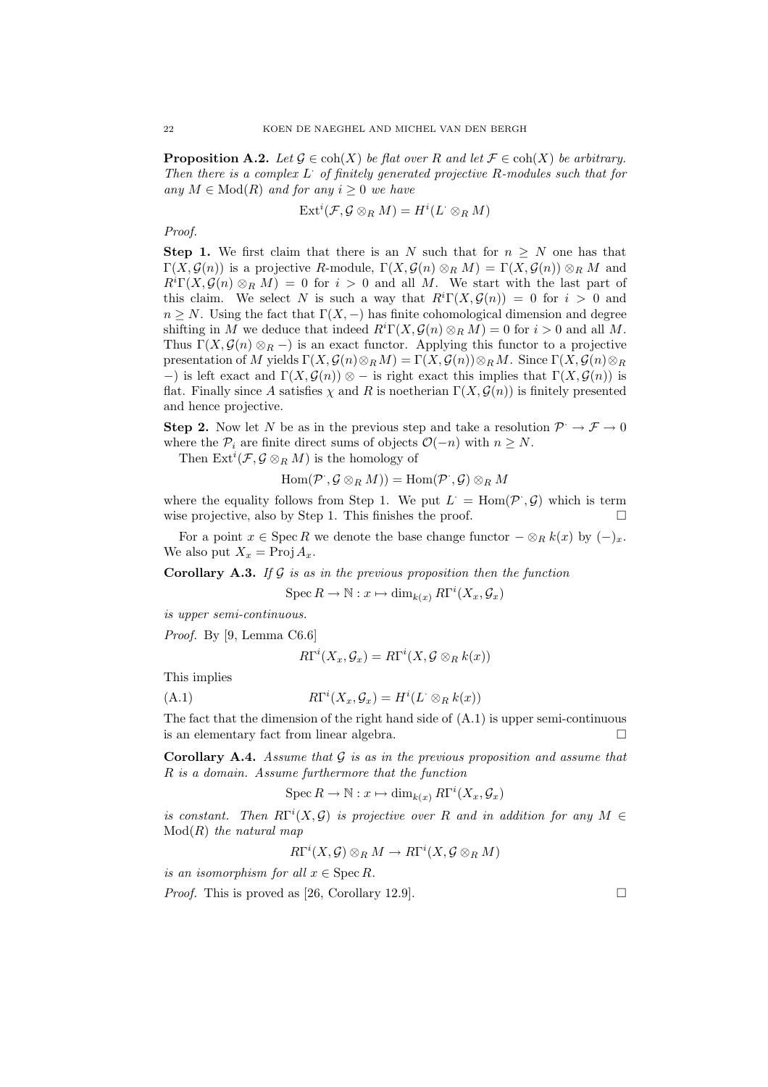**Proposition A.2.** Let  $\mathcal{G} \in \text{coh}(X)$  be flat over R and let  $\mathcal{F} \in \text{coh}(X)$  be arbitrary. Then there is a complex  $L^{\cdot}$  of finitely generated projective R-modules such that for any  $M \in Mod(R)$  and for any  $i \geq 0$  we have

$$
\text{Ext}^i(\mathcal{F}, \mathcal{G} \otimes_R M) = H^i(L^{\cdot} \otimes_R M)
$$

Proof.

Step 1. We first claim that there is an N such that for  $n \geq N$  one has that  $\Gamma(X, \mathcal{G}(n))$  is a projective R-module,  $\Gamma(X, \mathcal{G}(n) \otimes_R M) = \Gamma(X, \mathcal{G}(n)) \otimes_R M$  and  $R^{i}\Gamma(X,\mathcal{G}(n)\otimes_{R}M)=0$  for  $i>0$  and all M. We start with the last part of this claim. We select N is such a way that  $R^i\Gamma(X, \mathcal{G}(n)) = 0$  for  $i > 0$  and  $n \geq N$ . Using the fact that  $\Gamma(X, -)$  has finite cohomological dimension and degree shifting in M we deduce that indeed  $R^i\Gamma(X, \mathcal{G}(n) \otimes_R M) = 0$  for  $i > 0$  and all M. Thus  $\Gamma(X, \mathcal{G}(n) \otimes_R -)$  is an exact functor. Applying this functor to a projective presentation of M yields  $\Gamma(X, \mathcal{G}(n) \otimes_R M) = \Gamma(X, \mathcal{G}(n)) \otimes_R M$ . Since  $\Gamma(X, \mathcal{G}(n) \otimes_R M)$ −) is left exact and  $\Gamma(X, \mathcal{G}(n))$  ⊗ − is right exact this implies that  $\Gamma(X, \mathcal{G}(n))$  is flat. Finally since A satisfies  $\chi$  and R is noetherian  $\Gamma(X, \mathcal{G}(n))$  is finitely presented and hence projective.

**Step 2.** Now let N be as in the previous step and take a resolution  $\mathcal{P} \to \mathcal{F} \to 0$ where the  $\mathcal{P}_i$  are finite direct sums of objects  $\mathcal{O}(-n)$  with  $n \geq N$ .

Then  $\mathrm{Ext}^i(\mathcal{F}, \mathcal{G} \otimes_R M)$  is the homology of

$$
\operatorname{Hom}(\mathcal{P}^{\cdot},\mathcal{G}\otimes_{R}M))=\operatorname{Hom}(\mathcal{P}^{\cdot},\mathcal{G})\otimes_{R}M
$$

where the equality follows from Step 1. We put  $L^{\cdot} = \text{Hom}(\mathcal{P}^{\cdot}, \mathcal{G})$  which is term wise projective, also by Step 1. This finishes the proof.  $\Box$ 

For a point  $x \in \operatorname{Spec} R$  we denote the base change functor  $-\otimes_R k(x)$  by  $(-)_x$ . We also put  $X_x = \text{Proj } A_x$ .

**Corollary A.3.** If  $\mathcal G$  is as in the previous proposition then the function

$$
\operatorname{Spec} R \to \mathbb{N} : x \mapsto \dim_{k(x)} R\Gamma^{i}(X_{x}, \mathcal{G}_{x})
$$

is upper semi-continuous.

Proof. By [9, Lemma C6.6]

$$
R\Gamma^{i}(X_{x}, \mathcal{G}_{x}) = R\Gamma^{i}(X, \mathcal{G} \otimes_{R} k(x))
$$

This implies

 $(A.1)$ 

$$
R\Gamma^i(X_x,\mathcal{G}_x)=H^i(L^{\cdot}\otimes_Rk(x))
$$

The fact that the dimension of the right hand side of  $(A.1)$  is upper semi-continuous is an elementary fact from linear algebra.

**Corollary A.4.** Assume that  $\mathcal{G}$  is as in the previous proposition and assume that R is a domain. Assume furthermore that the function

 $\operatorname{Spec} R \to \mathbb{N} : x \mapsto \dim_{k(x)} R\Gamma^{i}(X_{x}, \mathcal{G}_{x})$ 

is constant. Then  $R\Gamma^{i}(X,\mathcal{G})$  is projective over R and in addition for any  $M \in$  $Mod(R)$  the natural map

$$
R\Gamma^i(X,\mathcal{G})\otimes_R M\to R\Gamma^i(X,\mathcal{G}\otimes_R M)
$$

is an isomorphism for all  $x \in \text{Spec } R$ .

*Proof.* This is proved as [26, Corollary 12.9].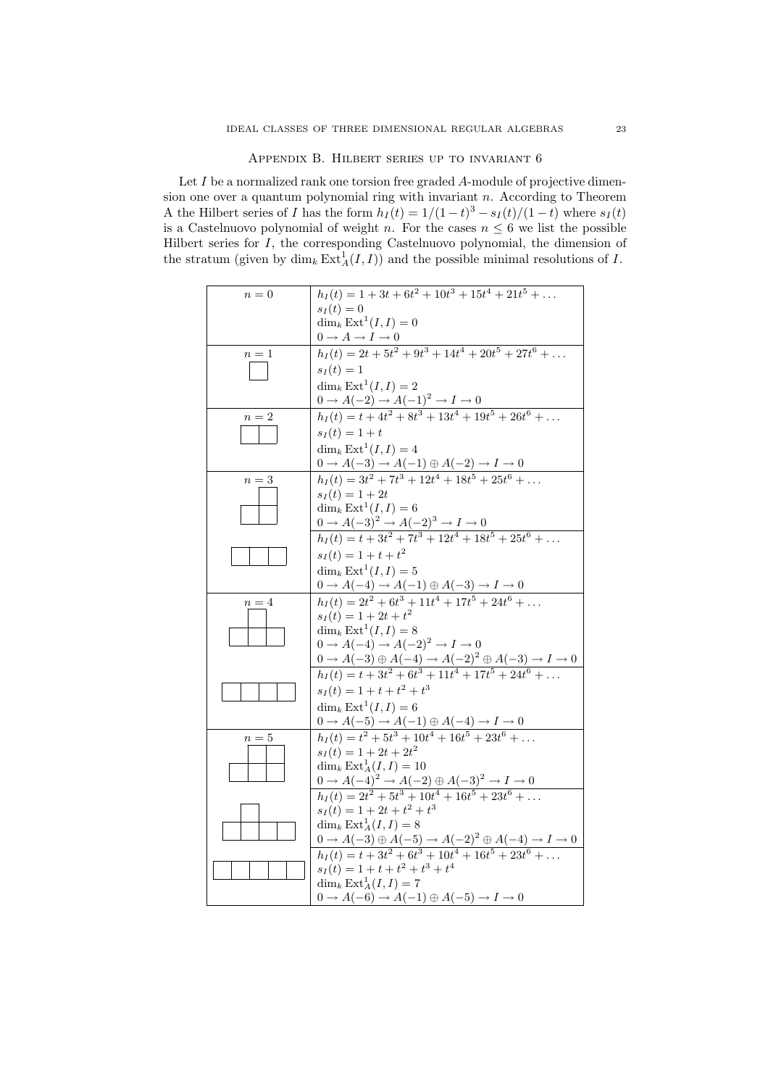#### Appendix B. Hilbert series up to invariant 6

Let I be a normalized rank one torsion free graded A-module of projective dimension one over a quantum polynomial ring with invariant  $n$ . According to Theorem A the Hilbert series of I has the form  $h_I(t) = 1/(1-t)^3 - s_I(t)/(1-t)$  where  $s_I(t)$ is a Castelnuovo polynomial of weight n. For the cases  $n \leq 6$  we list the possible Hilbert series for I, the corresponding Castelnuovo polynomial, the dimension of the stratum (given by  $\dim_k \text{Ext}^1_A(I,I))$  and the possible minimal resolutions of I.

| $n=0$ | $h_I(t) = 1 + 3t + 6t^2 + 10t^3 + 15t^4 + 21t^5 + \dots$                                                                                                                        |
|-------|---------------------------------------------------------------------------------------------------------------------------------------------------------------------------------|
|       | $s_I(t) = 0$                                                                                                                                                                    |
|       | $\dim_k \operatorname{Ext}^1(I,I) = 0$                                                                                                                                          |
|       |                                                                                                                                                                                 |
| $n=1$ | $0 \rightarrow A \rightarrow I \rightarrow 0$<br>$h_I(t) = 2t + 5t^2 + 9t^3 + 14t^4 + 20t^5 + 27t^6 + $                                                                         |
|       | $s_I(t) = 1$                                                                                                                                                                    |
|       | $\dim_k \operatorname{Ext}^1(I,I) = 2$                                                                                                                                          |
|       |                                                                                                                                                                                 |
|       | 0 → A(-2) → A(-1) <sup>2</sup> → I → 0<br>$h_I(t) = t + 4t^2 + 8t^3 + 13t^4 + 19t^5 + 26t^6 + $                                                                                 |
| $n=2$ |                                                                                                                                                                                 |
|       | $s_I(t) = 1 + t$                                                                                                                                                                |
|       | $\dim_k \operatorname{Ext}^1(I,I) = 4$                                                                                                                                          |
|       |                                                                                                                                                                                 |
| $n=3$ | $0 \to A(-3) \to A(-1) \oplus A(-2) \to I \to 0$<br>$h_I(t) = 3t^2 + 7t^3 + 12t^4 + 18t^5 + 25t^6 + \dots$                                                                      |
|       | $s_I(t) = 1 + 2t$                                                                                                                                                               |
|       | $\dim_k \operatorname{Ext}^1(I,I)=6$                                                                                                                                            |
|       |                                                                                                                                                                                 |
|       | $0 \to A(-3)^2 \to A(-2)^3 \to I \to 0$<br>$h_I(t) = t + 3t^2 + 7t^3 + 12t^4 + 18t^5 + 25t^6 + \dots$                                                                           |
|       | $s_I(t) = 1 + t + t^2$                                                                                                                                                          |
|       | $\dim_k \operatorname{Ext}^1(I,I) = 5$                                                                                                                                          |
|       |                                                                                                                                                                                 |
| $n=4$ | 0 → A(-4) → A(-1) ⊕ A(-3) → I → 0<br>$h_I(t) = 2t^2 + 6t^3 + 11t^4 + 17t^5 + 24t^6 + $                                                                                          |
|       | $s_I(t) = 1 + 2t + t^2$                                                                                                                                                         |
|       | $\dim_k \operatorname{Ext}^1(I,I) = 8$                                                                                                                                          |
|       | $0 \rightarrow A(-4) \rightarrow A(-2)^2 \rightarrow I \rightarrow 0$                                                                                                           |
|       |                                                                                                                                                                                 |
|       | $0 \to A(-3) \oplus A(-4) \to A(-2)^2 \oplus A(-3) \to I \to 0$<br>$h_I(t) = t + 3t^2 + 6t^3 + 11t^4 + 17t^5 + 24t^6 + \dots$                                                   |
|       | $s_I(t) = 1 + t + t^2 + t^3$                                                                                                                                                    |
|       |                                                                                                                                                                                 |
|       | $\dim_k \operatorname{Ext}^1(I,I) = 6$                                                                                                                                          |
|       | $0 \to A(-5) \to A(-1) \oplus A(-4) \to I \to 0$<br>$h_I(t) = t^2 + 5t^3 + 10t^4 + 16t^5 + 23t^6 + \dots$                                                                       |
| $n=5$ |                                                                                                                                                                                 |
|       | $s_I(t) = 1 + 2t + 2t^2$                                                                                                                                                        |
|       | $\dim_k \text{Ext}^1_A(I,I) = 10$                                                                                                                                               |
|       | $0 \to A(-4)^2 \to A(-2) \oplus A(-3)^2 \to I \to 0$<br>$h_I(t) = 2t^2 + 5t^3 + 10t^4 + 16t^5 + 23t^6 + \dots$                                                                  |
|       |                                                                                                                                                                                 |
|       | $s_I(t) = 1 + 2t + t^2 + t^3$                                                                                                                                                   |
|       | $\dim_k \operatorname{Ext}_A^1(I,I) = 8$                                                                                                                                        |
|       | 0 → A(-3) ⊕ A(-5) → A(-2) <sup>2</sup> ⊕ A(-4) → I → 0<br>h <sub>I</sub> (t) = t + 3t <sup>2</sup> + 6t <sup>3</sup> + 10t <sup>4</sup> + 16t <sup>5</sup> + 23t <sup>6</sup> + |
|       |                                                                                                                                                                                 |
|       | $s_I(t) = 1 + t + t^2 + t^3 + t^4$                                                                                                                                              |
|       | $\dim_k \operatorname{Ext}_A^1(I,I) = 7$                                                                                                                                        |
|       | $0 \rightarrow A(-6) \rightarrow A(-1) \oplus A(-5) \rightarrow I \rightarrow 0$                                                                                                |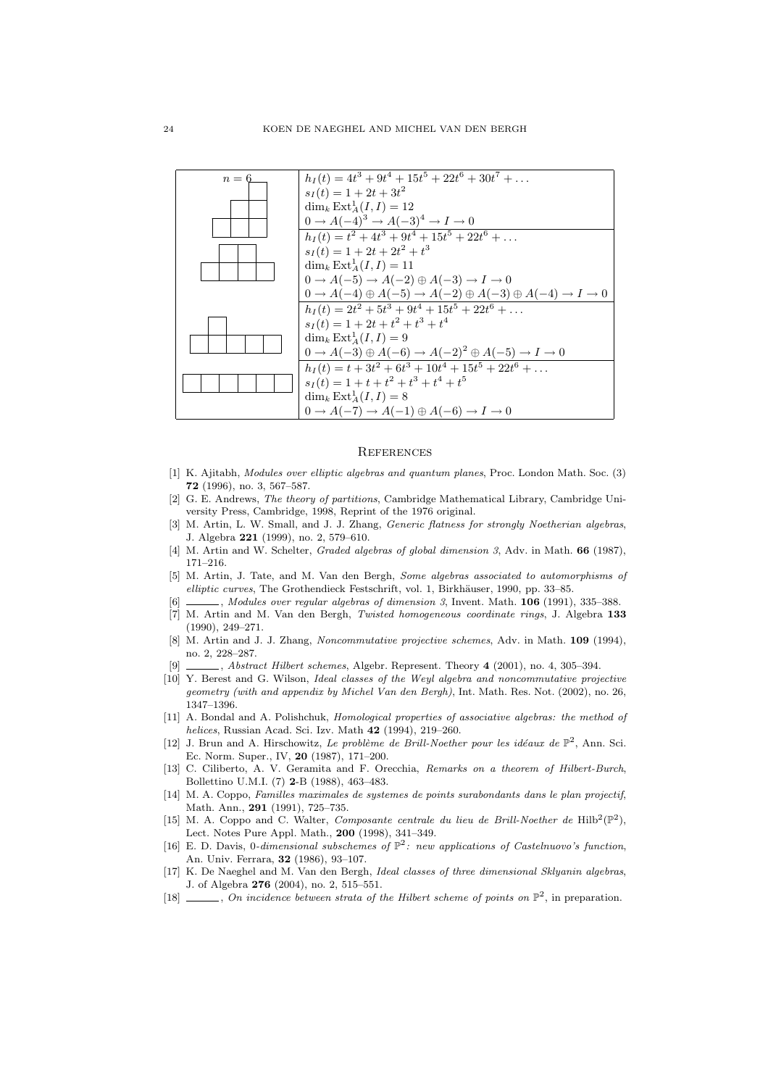

#### **REFERENCES**

- [1] K. Ajitabh, Modules over elliptic algebras and quantum planes, Proc. London Math. Soc. (3) 72 (1996), no. 3, 567–587.
- [2] G. E. Andrews, The theory of partitions, Cambridge Mathematical Library, Cambridge University Press, Cambridge, 1998, Reprint of the 1976 original.
- [3] M. Artin, L. W. Small, and J. J. Zhang, *Generic flatness for strongly Noetherian algebras*, J. Algebra 221 (1999), no. 2, 579–610.
- [4] M. Artin and W. Schelter, *Graded algebras of global dimension 3*, Adv. in Math. **66** (1987), 171–216.
- [5] M. Artin, J. Tate, and M. Van den Bergh, Some algebras associated to automorphisms of elliptic curves, The Grothendieck Festschrift, vol. 1, Birkhäuser, 1990, pp. 33–85.
- [6]  $\frac{1}{100}$ , Modules over regular algebras of dimension 3, Invent. Math. 106 (1991), 335–388.
- [7] M. Artin and M. Van den Bergh, Twisted homogeneous coordinate rings, J. Algebra 133 (1990), 249–271.
- [8] M. Artin and J. J. Zhang, Noncommutative projective schemes, Adv. in Math. 109 (1994), no. 2, 228–287.
- $\_,$  Abstract Hilbert schemes, Algebr. Represent. Theory 4 (2001), no. 4, 305-394.
- [10] Y. Berest and G. Wilson, Ideal classes of the Weyl algebra and noncommutative projective geometry (with and appendix by Michel Van den Bergh), Int. Math. Res. Not. (2002), no. 26, 1347–1396.
- [11] A. Bondal and A. Polishchuk, *Homological properties of associative algebras: the method of* helices, Russian Acad. Sci. Izv. Math 42 (1994), 219–260.
- [12] J. Brun and A. Hirschowitz, Le problème de Brill-Noether pour les idéaux de  $\mathbb{P}^2$ , Ann. Sci. Ec. Norm. Super., IV, 20 (1987), 171–200.
- [13] C. Ciliberto, A. V. Geramita and F. Orecchia, Remarks on a theorem of Hilbert-Burch, Bollettino U.M.I. (7) 2-B (1988), 463–483.
- [14] M. A. Coppo, Familles maximales de systemes de points surabondants dans le plan projectif, Math. Ann., 291 (1991), 725–735.
- [15] M. A. Coppo and C. Walter, Composante centrale du lieu de Brill-Noether de Hilb<sup>2</sup>( $\mathbb{P}^2$ ), Lect. Notes Pure Appl. Math., 200 (1998), 341–349.
- [16] E. D. Davis, 0-dimensional subschemes of  $\mathbb{P}^2$ : new applications of Castelnuovo's function, An. Univ. Ferrara, 32 (1986), 93–107.
- [17] K. De Naeghel and M. Van den Bergh, Ideal classes of three dimensional Sklyanin algebras, J. of Algebra 276 (2004), no. 2, 515–551.
- [18]  $\_\_\_\_$ , On incidence between strata of the Hilbert scheme of points on  $\mathbb{P}^2$ , in preparation.